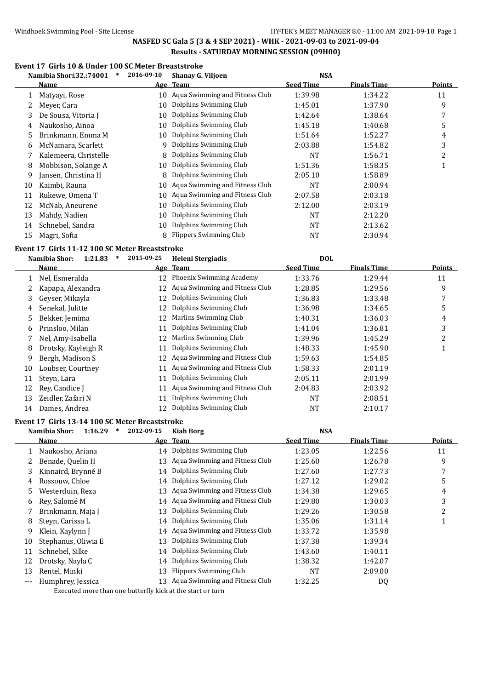# **Event 17 Girls 10 & Under 100 SC Meter Breaststroke**

|    | Namibia Shor: 32.: 74001<br>$\ast$ | 2016-09-10<br><b>NSA</b><br><b>Shanay G. Viljoen</b> |                                |                  |             |               |
|----|------------------------------------|------------------------------------------------------|--------------------------------|------------------|-------------|---------------|
|    | Name                               |                                                      | Age Team                       | <b>Seed Time</b> | Finals Time | <b>Points</b> |
|    | Matyayi, Rose                      | 10                                                   | Aqua Swimming and Fitness Club | 1:39.98          | 1:34.22     | 11            |
|    | Meyer, Cara                        | 10                                                   | Dolphins Swimming Club         | 1:45.01          | 1:37.90     | 9             |
| 3  | De Sousa, Vitoria J                | 10                                                   | Dolphins Swimming Club         | 1:42.64          | 1:38.64     | 7             |
| 4  | Naukosho, Ainoa                    | 10                                                   | Dolphins Swimming Club         | 1:45.18          | 1:40.68     | 5             |
| 5. | Brinkmann, Emma M                  | 10                                                   | Dolphins Swimming Club         | 1:51.64          | 1:52.27     | 4             |
| 6  | McNamara, Scarlett                 | 9                                                    | Dolphins Swimming Club         | 2:03.88          | 1:54.82     | 3             |
|    | Kalemeera, Christelle              | 8                                                    | Dolphins Swimming Club         | <b>NT</b>        | 1:56.71     | 2             |
| 8  | Mobbison, Solange A                | 10                                                   | Dolphins Swimming Club         | 1:51.36          | 1:58.35     |               |
| 9  | Jansen, Christina H                | 8                                                    | Dolphins Swimming Club         | 2:05.10          | 1:58.89     |               |
| 10 | Kaimbi, Rauna                      | 10                                                   | Aqua Swimming and Fitness Club | <b>NT</b>        | 2:00.94     |               |
| 11 | Rukewe, Omena T                    | 10                                                   | Aqua Swimming and Fitness Club | 2:07.58          | 2:03.18     |               |
| 12 | McNab, Aneurene                    | 10                                                   | Dolphins Swimming Club         | 2:12.00          | 2:03.19     |               |
| 13 | Mahdy, Nadien                      | 10                                                   | Dolphins Swimming Club         | <b>NT</b>        | 2:12.20     |               |
| 14 | Schnebel, Sandra                   | 10                                                   | Dolphins Swimming Club         | NT               | 2:13.62     |               |
| 15 | Magri, Sofia                       | 8                                                    | Flippers Swimming Club         | NT               | 2:30.94     |               |

#### **Event 17 Girls 11-12 100 SC Meter Breaststroke**

|    | Namibia Shor:<br>1:21.83<br>∗ | 2015-09-25 | Heleni Stergiadis              | <b>DOL</b>       |                    |                |
|----|-------------------------------|------------|--------------------------------|------------------|--------------------|----------------|
|    | Name                          |            | Age Team                       | <b>Seed Time</b> | <b>Finals Time</b> | <b>Points</b>  |
|    | Nel, Esmeralda                | 12         | Phoenix Swimming Academy       | 1:33.76          | 1:29.44            | 11             |
|    | Kapapa, Alexandra             | 12         | Aqua Swimming and Fitness Club | 1:28.85          | 1:29.56            | 9              |
| 3  | Geyser, Mikayla               | 12         | Dolphins Swimming Club         | 1:36.83          | 1:33.48            | 7              |
| 4  | Senekal, Julitte              | 12         | Dolphins Swimming Club         | 1:36.98          | 1:34.65            | 5              |
| 5. | Bekker, Jemima                | 12         | Marlins Swimming Club          | 1:40.31          | 1:36.03            | 4              |
| 6  | Prinsloo, Milan               | 11         | Dolphins Swimming Club         | 1:41.04          | 1:36.81            | 3              |
|    | Nel, Amy-Isabella             | 12         | Marlins Swimming Club          | 1:39.96          | 1:45.29            | $\overline{2}$ |
| 8  | Drotsky, Kayleigh R           | 11         | Dolphins Swimming Club         | 1:48.33          | 1:45.90            |                |
| 9  | Bergh, Madison S              | 12         | Aqua Swimming and Fitness Club | 1:59.63          | 1:54.85            |                |
| 10 | Loubser, Courtney             | 11         | Aqua Swimming and Fitness Club | 1:58.33          | 2:01.19            |                |
| 11 | Steyn, Lara                   | 11         | Dolphins Swimming Club         | 2:05.11          | 2:01.99            |                |
| 12 | Rev. Candice I                | 11         | Aqua Swimming and Fitness Club | 2:04.83          | 2:03.92            |                |
| 13 | Zeidler, Zafari N             | 11         | Dolphins Swimming Club         | NT               | 2:08.51            |                |
| 14 | Dames, Andrea                 | 12         | Dolphins Swimming Club         | NT               | 2:10.17            |                |

### **Event 17 Girls 13-14 100 SC Meter Breaststroke**

|       | Namibia Shor:<br>1:16.29<br>$\ast$ | 2012-09-15 | <b>Kiah Borg</b>                  | <b>NSA</b>       |                    |        |
|-------|------------------------------------|------------|-----------------------------------|------------------|--------------------|--------|
|       | Name                               |            | Age Team                          | <b>Seed Time</b> | <b>Finals Time</b> | Points |
|       | Naukosho, Ariana                   |            | 14 Dolphins Swimming Club         | 1:23.05          | 1:22.56            | 11     |
|       | Benade, Quelin H                   | 13         | Aqua Swimming and Fitness Club    | 1:25.60          | 1:26.78            | 9      |
| 3     | Kinnaird, Brynné B                 |            | 14 Dolphins Swimming Club         | 1:27.60          | 1:27.73            |        |
| 4     | Rossouw, Chloe                     |            | 14 Dolphins Swimming Club         | 1:27.12          | 1:29.02            | 5      |
| 5.    | Westerduin, Reza                   | 13         | Aqua Swimming and Fitness Club    | 1:34.38          | 1:29.65            | 4      |
| 6     | Rev, Salomé M                      |            | 14 Aqua Swimming and Fitness Club | 1:29.80          | 1:30.03            | 3      |
|       | Brinkmann, Maja J                  | 13         | Dolphins Swimming Club            | 1:29.26          | 1:30.58            | 2      |
| 8     | Steyn, Carissa L                   | 14         | Dolphins Swimming Club            | 1:35.06          | 1:31.14            |        |
| 9     | Klein, Kaylynn J                   |            | 14 Aqua Swimming and Fitness Club | 1:33.72          | 1:35.98            |        |
| 10    | Stephanus, Oliwia E                | 13         | Dolphins Swimming Club            | 1:37.38          | 1:39.34            |        |
| 11    | Schnebel, Silke                    | 14         | Dolphins Swimming Club            | 1:43.60          | 1:40.11            |        |
| 12    | Drotsky, Nayla C                   | 14         | Dolphins Swimming Club            | 1:38.32          | 1:42.07            |        |
| 13    | Rentel, Minki                      | 13         | <b>Flippers Swimming Club</b>     | NT               | 2:09.00            |        |
| $---$ | Humphrey, Jessica                  |            | 13 Aqua Swimming and Fitness Club | 1:32.25          | DQ                 |        |
|       |                                    |            |                                   |                  |                    |        |

Executed more than one butterfly kick at the start or turn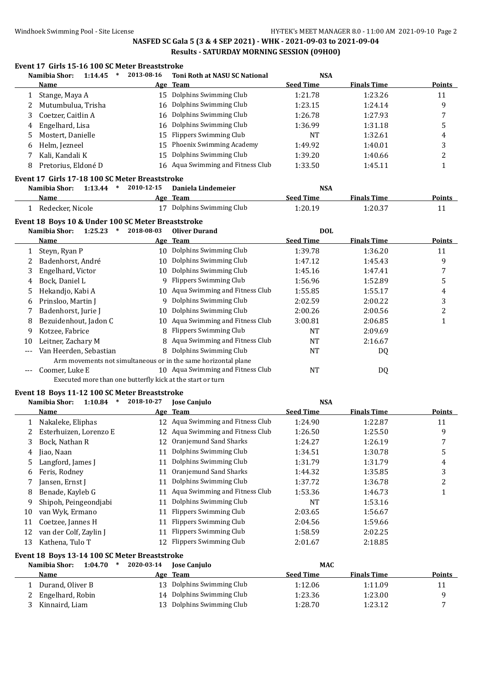# **Event 17 Girls 15-16 100 SC Meter Breaststroke**

|              | Namibia Shor:                                      | 1:14.45<br>$\ast$ | 2013-08-16 | <b>Toni Roth at NASU SC National</b>                           | <b>NSA</b>       |                    |               |
|--------------|----------------------------------------------------|-------------------|------------|----------------------------------------------------------------|------------------|--------------------|---------------|
|              | Name                                               |                   |            | Age Team                                                       | <b>Seed Time</b> | <b>Finals Time</b> | <b>Points</b> |
| $\mathbf{1}$ | Stange, Maya A                                     |                   |            | 15 Dolphins Swimming Club                                      | 1:21.78          | 1:23.26            | 11            |
| 2            | Mutumbulua, Trisha                                 |                   | 16         | Dolphins Swimming Club                                         | 1:23.15          | 1:24.14            | 9             |
| 3            | Coetzer, Caitlin A                                 |                   | 16         | Dolphins Swimming Club                                         | 1:26.78          | 1:27.93            | 7             |
| 4            | Engelhard, Lisa                                    |                   | 16         | Dolphins Swimming Club                                         | 1:36.99          | 1:31.18            | 5             |
| 5            | Mostert, Danielle                                  |                   | 15         | <b>Flippers Swimming Club</b>                                  | NT               | 1:32.61            | 4             |
| 6            | Helm, Jezneel                                      |                   | 15         | Phoenix Swimming Academy                                       | 1:49.92          | 1:40.01            | 3             |
| 7            | Kali, Kandali K                                    |                   | 15         | Dolphins Swimming Club                                         | 1:39.20          | 1:40.66            | 2             |
| 8            | Pretorius, Eldoné D                                |                   |            | 16 Aqua Swimming and Fitness Club                              | 1:33.50          | 1:45.11            | 1             |
|              | Event 17 Girls 17-18 100 SC Meter Breaststroke     |                   |            |                                                                |                  |                    |               |
|              | Namibia Shor:                                      | $1:13.44$ *       | 2010-12-15 | Daniela Lindemeier                                             | <b>NSA</b>       |                    |               |
|              | Name                                               |                   |            | Age Team                                                       | <b>Seed Time</b> | <b>Finals Time</b> | <b>Points</b> |
|              | 1 Redecker, Nicole                                 |                   |            | 17 Dolphins Swimming Club                                      | 1:20.19          | 1:20.37            | 11            |
|              | Event 18 Boys 10 & Under 100 SC Meter Breaststroke |                   |            |                                                                |                  |                    |               |
|              | Namibia Shor:<br>1:25.23                           | $\ast$            | 2018-08-03 | <b>Oliver Durand</b>                                           | <b>DOL</b>       |                    |               |
|              | Name                                               |                   |            | Age Team                                                       | <b>Seed Time</b> | <b>Finals Time</b> | <b>Points</b> |
| 1            | Steyn, Ryan P                                      |                   |            | 10 Dolphins Swimming Club                                      | 1:39.78          | 1:36.20            | 11            |
| 2            | Badenhorst, André                                  |                   | 10         | Dolphins Swimming Club                                         | 1:47.12          | 1:45.43            | 9             |
|              |                                                    |                   | 10         | Dolphins Swimming Club                                         | 1:45.16          | 1:47.41            |               |
| 3            | Engelhard, Victor<br>Bock, Daniel L                |                   | 9          | <b>Flippers Swimming Club</b>                                  | 1:56.96          |                    | 7             |
| 4            |                                                    |                   |            | Aqua Swimming and Fitness Club                                 |                  | 1:52.89            | 5             |
| 5            | Hekandjo, Kabi A                                   |                   | 10         |                                                                | 1:55.85          | 1:55.17            | 4             |
| 6            | Prinsloo, Martin J                                 |                   | 9          | Dolphins Swimming Club                                         | 2:02.59          | 2:00.22            | 3             |
| 7            | Badenhorst, Jurie J                                |                   | 10         | Dolphins Swimming Club                                         | 2:00.26          | 2:00.56            | 2             |
| 8            | Bezuidenhout, Jadon C                              |                   | 10         | Aqua Swimming and Fitness Club                                 | 3:00.81          | 2:06.85            | $\mathbf{1}$  |
| 9            | Kotzee, Fabrice                                    |                   | 8          | <b>Flippers Swimming Club</b>                                  | <b>NT</b>        | 2:09.69            |               |
| 10           | Leitner, Zachary M                                 |                   | 8          | Aqua Swimming and Fitness Club                                 | <b>NT</b>        | 2:16.67            |               |
| ---          | Van Heerden, Sebastian                             |                   | 8          | Dolphins Swimming Club                                         | NT               | DQ                 |               |
|              |                                                    |                   |            | Arm movements not simultaneous or in the same horizontal plane |                  |                    |               |
| $---$        | Coomer, Luke E                                     |                   |            | 10 Aqua Swimming and Fitness Club                              | <b>NT</b>        | DQ                 |               |
|              |                                                    |                   |            | Executed more than one butterfly kick at the start or turn     |                  |                    |               |
|              | Event 18 Boys 11-12 100 SC Meter Breaststroke      |                   |            |                                                                |                  |                    |               |
|              | Namibia Shor:                                      | $1:10.84$ *       | 2018-10-27 | <b>Jose Canjulo</b>                                            | <b>NSA</b>       |                    |               |
|              | Name                                               |                   |            | Age Team                                                       | <b>Seed Time</b> | <b>Finals Time</b> | <b>Points</b> |
| $\mathbf{1}$ | Nakaleke, Eliphas                                  |                   |            | 12 Aqua Swimming and Fitness Club                              | 1:24.90          | 1:22.87            | 11            |
| 2            | Esterhuizen, Lorenzo E                             |                   |            | 12 Aqua Swimming and Fitness Club                              | 1:26.50          | 1:25.50            | 9             |
| 3            | Bock, Nathan R                                     |                   |            | 12 Oranjemund Sand Sharks                                      | 1:24.27          | 1:26.19            | 7             |
| 4            | Jiao, Naan                                         |                   | 11         | Dolphins Swimming Club                                         | 1:34.51          | 1:30.78            | 5             |
| 5            | Langford, James J                                  |                   | 11         | Dolphins Swimming Club                                         | 1:31.79          | 1:31.79            | 4             |
| 6            | Feris, Rodney                                      |                   | 11         | Oranjemund Sand Sharks                                         | 1:44.32          | 1:35.85            | 3             |
| 7            | Jansen, Ernst J                                    |                   | 11         | Dolphins Swimming Club                                         | 1:37.72          | 1:36.78            | 2             |
| 8            | Benade, Kayleb G                                   |                   | 11         | Aqua Swimming and Fitness Club                                 | 1:53.36          | 1:46.73            | 1             |
| 9            | Shipoh, Peingeondjabi                              |                   | 11         | Dolphins Swimming Club                                         | NT               | 1:53.16            |               |
| 10           | van Wyk, Ermano                                    |                   | 11         | <b>Flippers Swimming Club</b>                                  | 2:03.65          | 1:56.67            |               |
| 11           | Coetzee, Jannes H                                  |                   | 11         | <b>Flippers Swimming Club</b>                                  | 2:04.56          | 1:59.66            |               |
| 12           | van der Colf, Zaylin J                             |                   | 11         | <b>Flippers Swimming Club</b>                                  | 1:58.59          | 2:02.25            |               |
| 13           | Kathena, Tulo T                                    |                   | 12         | <b>Flippers Swimming Club</b>                                  | 2:01.67          | 2:18.85            |               |
|              | Event 18 Boys 13-14 100 SC Meter Breaststroke      |                   |            |                                                                |                  |                    |               |
|              | Namibia Shor:                                      | $1:04.70$ *       | 2020-03-14 | <b>Jose Canjulo</b>                                            | <b>MAC</b>       |                    |               |
|              | <b>Name</b>                                        |                   | <u>Age</u> | <b>Team</b>                                                    | <b>Seed Time</b> | <b>Finals Time</b> | <b>Points</b> |
| 1            | Durand, Oliver B                                   |                   | 13         | Dolphins Swimming Club                                         | 1:12.06          | 1:11.09            | 11            |
| 2            | Engelhard, Robin                                   |                   | 14         | Dolphins Swimming Club                                         | 1:23.36          | 1:23.00            | 9             |
| 3            | Kinnaird, Liam                                     |                   |            | 13 Dolphins Swimming Club                                      | 1:28.70          | 1:23.12            | 7             |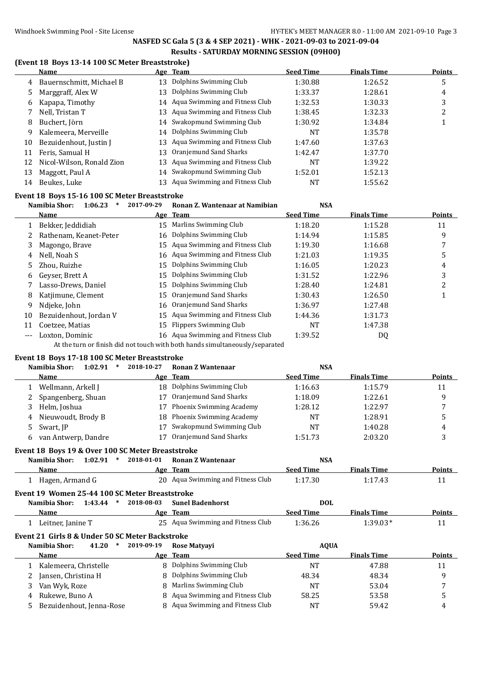### **(Event 18 Boys 13-14 100 SC Meter Breaststroke)**

|    | Name                      |    | Age Team                          | <b>Seed Time</b> | <b>Finals Time</b> | Points |
|----|---------------------------|----|-----------------------------------|------------------|--------------------|--------|
| 4  | Bauernschmitt, Michael B  | 13 | Dolphins Swimming Club            | 1:30.88          | 1:26.52            | 5      |
| 5. | Marggraff, Alex W         | 13 | Dolphins Swimming Club            | 1:33.37          | 1:28.61            | 4      |
| 6  | Kapapa, Timothy           |    | 14 Aqua Swimming and Fitness Club | 1:32.53          | 1:30.33            | 3      |
|    | Nell, Tristan T           | 13 | Aqua Swimming and Fitness Club    | 1:38.45          | 1:32.33            | າ<br>∠ |
| 8  | Buchert, Jörn             |    | 14 Swakopmund Swimming Club       | 1:30.92          | 1:34.84            |        |
| 9  | Kalemeera, Merveille      |    | 14 Dolphins Swimming Club         | <b>NT</b>        | 1:35.78            |        |
| 10 | Bezuidenhout, Justin J    | 13 | Aqua Swimming and Fitness Club    | 1:47.60          | 1:37.63            |        |
| 11 | Feris, Samual H           | 13 | Oranjemund Sand Sharks            | 1:42.47          | 1:37.70            |        |
| 12 | Nicol-Wilson, Ronald Zion | 13 | Aqua Swimming and Fitness Club    | NT               | 1:39.22            |        |
| 13 | Maggott, Paul A           |    | 14 Swakopmund Swimming Club       | 1:52.01          | 1:52.13            |        |
| 14 | Beukes, Luke              | 13 | Aqua Swimming and Fitness Club    | NT               | 1:55.62            |        |

### **Event 18 Boys 15-16 100 SC Meter Breaststroke**

|    | Namibia Shor:<br>1:06.23 | 2017-09-29 | Ronan Z. Wantenaar at Namibian                                                                                                                                                                                                             | <b>NSA</b>       |                    |        |
|----|--------------------------|------------|--------------------------------------------------------------------------------------------------------------------------------------------------------------------------------------------------------------------------------------------|------------------|--------------------|--------|
|    | Name                     |            | Age Team                                                                                                                                                                                                                                   | <b>Seed Time</b> | <b>Finals Time</b> | Points |
|    | Bekker, Jeddidiah        | 15         | Marlins Swimming Club                                                                                                                                                                                                                      | 1:18.20          | 1:15.28            | 11     |
|    | Rathenam, Keanet-Peter   |            | 16 Dolphins Swimming Club                                                                                                                                                                                                                  | 1:14.94          | 1:15.85            | 9      |
| 3  | Magongo, Brave           |            | 15 Agua Swimming and Fitness Club                                                                                                                                                                                                          | 1:19.30          | 1:16.68            |        |
| 4  | Nell, Noah S             |            | 16 Aqua Swimming and Fitness Club                                                                                                                                                                                                          | 1:21.03          | 1:19.35            | 5      |
| 5. | Zhou. Ruizhe             | 15         | Dolphins Swimming Club                                                                                                                                                                                                                     | 1:16.05          | 1:20.23            | 4      |
| 6  | Geyser, Brett A          | 15         | Dolphins Swimming Club                                                                                                                                                                                                                     | 1:31.52          | 1:22.96            | 3      |
|    | Lasso-Drews, Daniel      | 15         | Dolphins Swimming Club                                                                                                                                                                                                                     | 1:28.40          | 1:24.81            |        |
| 8  | Katjimune, Clement       | 15         | Oranjemund Sand Sharks                                                                                                                                                                                                                     | 1:30.43          | 1:26.50            |        |
| 9  | Ndjeke, John             | 16         | Oranjemund Sand Sharks                                                                                                                                                                                                                     | 1:36.97          | 1:27.48            |        |
| 10 | Bezuidenhout, Jordan V   | 15         | Aqua Swimming and Fitness Club                                                                                                                                                                                                             | 1:44.36          | 1:31.73            |        |
| 11 | Coetzee, Matias          | 15         | Flippers Swimming Club                                                                                                                                                                                                                     | NT               | 1:47.38            |        |
|    | Loxton, Dominic          |            | 16 Aqua Swimming and Fitness Club                                                                                                                                                                                                          | 1:39.52          | DQ                 |        |
|    |                          |            | $\mathbf{A} \cdot \mathbf{A}$ , and the set of the state of the state of the state of the state of the state of the state of the state of the state of the state of the state of the state of the state of the state of the state of the s |                  |                    |        |

At the turn or finish did not touch with both hands simultaneously/separated

### **Event 18 Boys 17-18 100 SC Meter Breaststroke**

|    | Namibia Shor:<br>1:02.91 | 2018-10-27 | Ronan Z Wantenaar           | <b>NSA</b>       |                    |               |
|----|--------------------------|------------|-----------------------------|------------------|--------------------|---------------|
|    | Name                     |            | Age Team                    | <b>Seed Time</b> | <b>Finals Time</b> | <b>Points</b> |
|    | Wellmann, Arkell J       |            | 18 Dolphins Swimming Club   | 1:16.63          | 1:15.79            | 11            |
| 2  | Spangenberg, Shuan       |            | Oranjemund Sand Sharks      | 1:18.09          | 1:22.61            | q             |
|    | Helm, Joshua             |            | 17 Phoenix Swimming Academy | 1:28.12          | 1:22.97            |               |
| 4  | Nieuwoudt, Brody B       |            | 18 Phoenix Swimming Academy | NT               | 1:28.91            |               |
| 5. | Swart, JP                |            | Swakopmund Swimming Club    | <b>NT</b>        | 1:40.28            | 4             |
|    | van Antwerp, Dandre      |            | Oranjemund Sand Sharks      | 1:51.73          | 2:03.20            |               |

#### **Event 18 Boys 19 & Over 100 SC Meter Breaststroke**

| Namibia Shor:   | 1:02.91 | 2018-01-01<br>* | Ronan Z Wantenaar                 | NSA              |                    |        |
|-----------------|---------|-----------------|-----------------------------------|------------------|--------------------|--------|
| Name            |         |                 | Age Team                          | <b>Seed Time</b> | <b>Finals Time</b> | Points |
| Hagen, Armand G |         |                 | 20 Aqua Swimming and Fitness Club | 1:17.30          | 1:17.43            |        |

# **Event 19 Women 25-44 100 SC Meter Breaststroke**

| Namibia Shor:     | 1:43.44 | 2018-08-03 | Sunel Badenhorst                  | DOL              |                    |        |
|-------------------|---------|------------|-----------------------------------|------------------|--------------------|--------|
| Name              |         |            | Age Team                          | <b>Seed Time</b> | <b>Finals Time</b> | Points |
| Leitner, Janine T |         |            | 25 Agua Swimming and Fitness Club | 1:36.26          | $1:39.03*$         |        |

# **Event 21 Girls 8 & Under 50 SC Meter Backstroke**

| Namibia Shor:            | 41.20 | 2019-09-19 | <b>Rose Matyavi</b>              | <b>AOUA</b>      |                    |               |
|--------------------------|-------|------------|----------------------------------|------------------|--------------------|---------------|
| Name                     |       |            | Age Team                         | <b>Seed Time</b> | <b>Finals Time</b> | <b>Points</b> |
| Kalemeera, Christelle    |       |            | 8 Dolphins Swimming Club         | NT               | 47.88              | 11            |
| 2 Jansen, Christina H    |       |            | 8 Dolphins Swimming Club         | 48.34            | 48.34              |               |
| Van Wyk, Roze            |       |            | 8 Marlins Swimming Club          | NT               | 53.04              |               |
| Rukewe, Buno A<br>4      |       |            | 8 Aqua Swimming and Fitness Club | 58.25            | 53.58              |               |
| Bezuidenhout, Jenna-Rose |       |            | 8 Aqua Swimming and Fitness Club | NΤ               | 59.42              |               |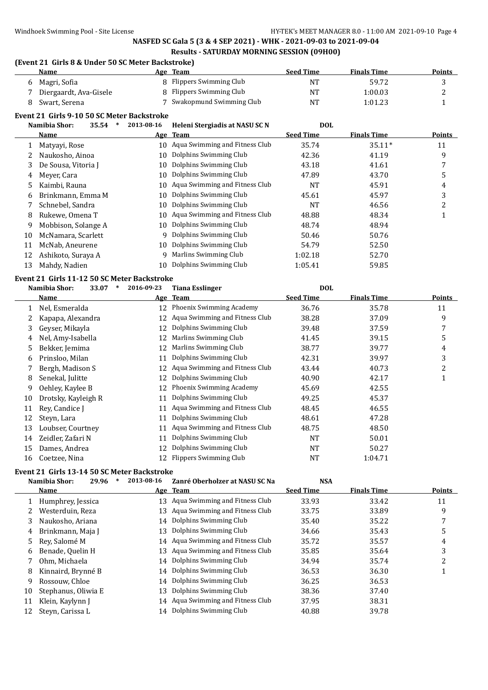# **(Event 21 Girls 8 & Under 50 SC Meter Backstroke)**

| <b>Name</b>            | Age Team                   | Seed Time | <b>Finals Time</b> | <b>Points</b> |
|------------------------|----------------------------|-----------|--------------------|---------------|
| Magri, Sofia           | 8 Flippers Swimming Club   | NT        | 59.72              |               |
| Diergaardt, Ava-Gisele | 8 Flippers Swimming Club   | NT        | 1:00.03            |               |
| Swart, Serena          | 7 Swakopmund Swimming Club | NT        | 1:01.23            |               |

### **Event 21 Girls 9-10 50 SC Meter Backstroke**

|    | Namibia Shor:<br>35.54<br>$\ast$                   | 2013-08-16 | Heleni Stergiadis at NASU SC N    | <b>DOL</b>       |                    |               |  |  |  |
|----|----------------------------------------------------|------------|-----------------------------------|------------------|--------------------|---------------|--|--|--|
|    | Name                                               |            | Age Team                          | <b>Seed Time</b> | <b>Finals Time</b> | <b>Points</b> |  |  |  |
|    | Matyayi, Rose                                      |            | 10 Aqua Swimming and Fitness Club | 35.74            | $35.11*$           | 11            |  |  |  |
|    | Naukosho, Ainoa                                    | 10         | Dolphins Swimming Club            | 42.36            | 41.19              | 9             |  |  |  |
| 3  | De Sousa, Vitoria J                                | 10         | Dolphins Swimming Club            | 43.18            | 41.61              | 7             |  |  |  |
| 4  | Meyer, Cara                                        | 10         | Dolphins Swimming Club            | 47.89            | 43.70              | 5             |  |  |  |
| 5. | Kaimbi, Rauna                                      | 10         | Aqua Swimming and Fitness Club    | <b>NT</b>        | 45.91              | 4             |  |  |  |
| 6  | Brinkmann, Emma M                                  | 10         | Dolphins Swimming Club            | 45.61            | 45.97              | 3             |  |  |  |
|    | Schnebel, Sandra                                   | 10         | Dolphins Swimming Club            | NT               | 46.56              | 2             |  |  |  |
| 8  | Rukewe, Omena T                                    | 10         | Aqua Swimming and Fitness Club    | 48.88            | 48.34              |               |  |  |  |
| 9  | Mobbison, Solange A                                | 10         | Dolphins Swimming Club            | 48.74            | 48.94              |               |  |  |  |
| 10 | McNamara, Scarlett                                 | 9          | Dolphins Swimming Club            | 50.46            | 50.76              |               |  |  |  |
| 11 | McNab, Aneurene                                    | 10         | Dolphins Swimming Club            | 54.79            | 52.50              |               |  |  |  |
| 12 | Ashikoto, Suraya A                                 | q          | Marlins Swimming Club             | 1:02.18          | 52.70              |               |  |  |  |
| 13 | Mahdy, Nadien                                      | 10         | Dolphins Swimming Club            | 1:05.41          | 59.85              |               |  |  |  |
|    | <b>Fyent 21 Girls 11-12 50 SC Meter Backstroke</b> |            |                                   |                  |                    |               |  |  |  |

# **Event 21 Girls 11-12 50 SC Meter Backstroke**

|    | Namibia Shor:<br>33.07<br>$\ast$ | 2016-09-23 | <b>Tiana Esslinger</b>          | <b>DOL</b>       |                    |               |
|----|----------------------------------|------------|---------------------------------|------------------|--------------------|---------------|
|    | <b>Name</b>                      |            | Age Team                        | <b>Seed Time</b> | <b>Finals Time</b> | <b>Points</b> |
|    | Nel, Esmeralda                   |            | 12 Phoenix Swimming Academy     | 36.76            | 35.78              | 11            |
|    | Kapapa, Alexandra                | 12         | Aqua Swimming and Fitness Club  | 38.28            | 37.09              | 9             |
| 3  | Gevser, Mikavla                  | 12         | Dolphins Swimming Club          | 39.48            | 37.59              | 7             |
| 4  | Nel, Amy-Isabella                | 12         | Marlins Swimming Club           | 41.45            | 39.15              | 5             |
| 5  | Bekker, Jemima                   | 12         | Marlins Swimming Club           | 38.77            | 39.77              | 4             |
| 6  | Prinsloo, Milan                  | 11         | Dolphins Swimming Club          | 42.31            | 39.97              | 3             |
|    | Bergh, Madison S                 |            | Aqua Swimming and Fitness Club  | 43.44            | 40.73              | 2             |
| 8  | Senekal, Julitte                 | 12         | Dolphins Swimming Club          | 40.90            | 42.17              | 1             |
| 9  | Oehley, Kaylee B                 | 12         | <b>Phoenix Swimming Academy</b> | 45.69            | 42.55              |               |
| 10 | Drotsky, Kayleigh R              | 11         | Dolphins Swimming Club          | 49.25            | 45.37              |               |
| 11 | Rey, Candice J                   | 11         | Aqua Swimming and Fitness Club  | 48.45            | 46.55              |               |
| 12 | Steyn, Lara                      | 11         | Dolphins Swimming Club          | 48.61            | 47.28              |               |
| 13 | Loubser, Courtney                | 11         | Aqua Swimming and Fitness Club  | 48.75            | 48.50              |               |
| 14 | Zeidler, Zafari N                | 11         | Dolphins Swimming Club          | NT               | 50.01              |               |
| 15 | Dames, Andrea                    | 12         | Dolphins Swimming Club          | NT               | 50.27              |               |
| 16 | Coetzee, Nina                    |            | 12 Flippers Swimming Club       | <b>NT</b>        | 1:04.71            |               |

# **Event 21 Girls 13-14 50 SC Meter Backstroke**<br> **Example 2006**  $*$  2012.08.16

|    | Namibia Shor:<br>29.96 | ∗ | 2013-08-16 | Zanré Oberholzer at NASU SC Na    | <b>NSA</b>       |                    |               |
|----|------------------------|---|------------|-----------------------------------|------------------|--------------------|---------------|
|    | Name                   |   |            | Age Team                          | <b>Seed Time</b> | <b>Finals Time</b> | <b>Points</b> |
|    | Humphrey, Jessica      |   | 13         | Aqua Swimming and Fitness Club    | 33.93            | 33.42              | 11            |
|    | Westerduin, Reza       |   | 13         | Aqua Swimming and Fitness Club    | 33.75            | 33.89              | 9             |
| 3  | Naukosho, Ariana       |   |            | 14 Dolphins Swimming Club         | 35.40            | 35.22              |               |
| 4  | Brinkmann, Maja J      |   | 13         | Dolphins Swimming Club            | 34.66            | 35.43              |               |
| 5. | Rev, Salomé M          |   |            | 14 Agua Swimming and Fitness Club | 35.72            | 35.57              | 4             |
| 6  | Benade, Quelin H       |   | 13         | Aqua Swimming and Fitness Club    | 35.85            | 35.64              | 3             |
|    | Ohm. Michaela          |   |            | 14 Dolphins Swimming Club         | 34.94            | 35.74              | 2             |
| 8  | Kinnaird, Brynné B     |   |            | 14 Dolphins Swimming Club         | 36.53            | 36.30              |               |
| 9  | Rossouw, Chloe         |   | 14         | Dolphins Swimming Club            | 36.25            | 36.53              |               |
| 10 | Stephanus, Oliwia E    |   | 13         | Dolphins Swimming Club            | 38.36            | 37.40              |               |
| 11 | Klein, Kaylynn J       |   |            | 14 Aqua Swimming and Fitness Club | 37.95            | 38.31              |               |
| 12 | Steyn, Carissa L       |   | 14         | Dolphins Swimming Club            | 40.88            | 39.78              |               |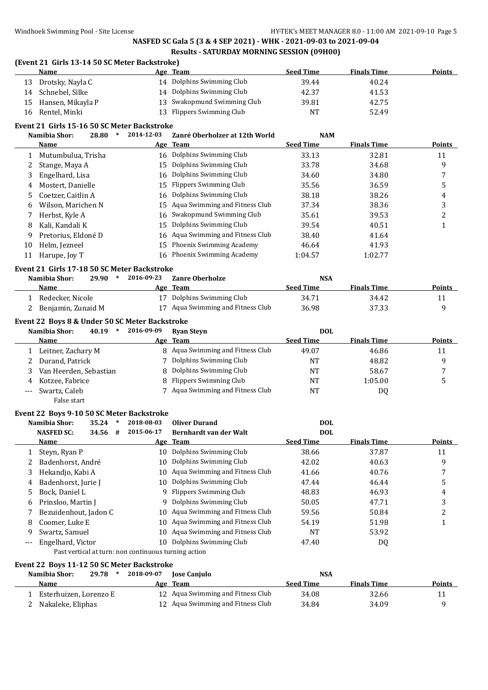#### **(Event 21 Girls 13-14 50 SC Meter Backstroke)**

|    | Name                 | Age Team                    | <b>Seed Time</b> | <b>Finals Time</b> | <b>Points</b> |
|----|----------------------|-----------------------------|------------------|--------------------|---------------|
| 13 | Drotsky, Nayla C     | 14 Dolphins Swimming Club   | 39.44            | 40.24              |               |
| 14 | Schnebel, Silke      | 14 Dolphins Swimming Club   | 42.37            | 41.53              |               |
|    | 15 Hansen, Mikayla P | 13 Swakopmund Swimming Club | 39.81            | 42.75              |               |
|    | 16 Rentel, Minki     | 13 Flippers Swimming Club   | NT               | 52.49              |               |

#### **Event 21 Girls 15-16 50 SC Meter Backstroke**

|              | Namibia Shor:       | 28.80 | 2014-12-03 | Zanré Oberholzer at 12th World    | <b>NAM</b>       |                    |               |
|--------------|---------------------|-------|------------|-----------------------------------|------------------|--------------------|---------------|
|              | Name                |       |            | Age Team                          | <b>Seed Time</b> | <b>Finals Time</b> | <b>Points</b> |
| $\mathbf{1}$ | Mutumbulua, Trisha  |       | 16         | Dolphins Swimming Club            | 33.13            | 32.81              | 11            |
|              | Stange, Maya A      |       | 15         | Dolphins Swimming Club            | 33.78            | 34.68              | 9             |
| 3            | Engelhard, Lisa     |       | 16         | Dolphins Swimming Club            | 34.60            | 34.80              |               |
| 4            | Mostert, Danielle   |       | 15         | Flippers Swimming Club            | 35.56            | 36.59              | 5             |
|              | Coetzer, Caitlin A  |       |            | 16 Dolphins Swimming Club         | 38.18            | 38.26              | 4             |
| 6            | Wilson, Marichen N  |       |            | 15 Agua Swimming and Fitness Club | 37.34            | 38.36              | 3             |
|              | Herbst, Kyle A      |       |            | 16 Swakopmund Swimming Club       | 35.61            | 39.53              | າ<br>∠        |
| 8            | Kali, Kandali K     |       | 15         | Dolphins Swimming Club            | 39.54            | 40.51              |               |
| -9           | Pretorius, Eldoné D |       |            | 16 Aqua Swimming and Fitness Club | 38.40            | 41.64              |               |
| 10           | Helm, Jezneel       |       | 15         | <b>Phoenix Swimming Academy</b>   | 46.64            | 41.93              |               |
| 11           | Harupe, Joy T       |       | 16         | Phoenix Swimming Academy          | 1:04.57          | 1:02.77            |               |

#### **Event 21 Girls 17-18 50 SC Meter Backstroke**

| Namibia Shor:      | 29.90 | 2016-09-23 | <b>Zanre Oberholze</b>            | <b>NSA</b>       |                    |               |
|--------------------|-------|------------|-----------------------------------|------------------|--------------------|---------------|
| Name               |       |            | Age Team                          | <b>Seed Time</b> | <b>Finals Time</b> | <b>Points</b> |
| Redecker, Nicole   |       |            | 17 Dolphins Swimming Club         | 34.71            | 34.42              |               |
| Benjamin, Zunaid M |       |            | 17 Aqua Swimming and Fitness Club | 36.98            | 37.33              |               |

#### **Event 22 Boys 8 & Under 50 SC Meter Backstroke**

| Namibia Shor:<br>40.19 | 2016-09-09 | <b>Ryan Steyn</b>                | <b>DOL</b>       |                    |               |
|------------------------|------------|----------------------------------|------------------|--------------------|---------------|
| <b>Name</b>            |            | Age Team                         | <b>Seed Time</b> | <b>Finals Time</b> | <b>Points</b> |
| Leitner, Zachary M     |            | 8 Aqua Swimming and Fitness Club | 49.07            | 46.86              | 11            |
| Durand, Patrick        |            | 7 Dolphins Swimming Club         | <b>NT</b>        | 48.82              |               |
| Van Heerden, Sebastian |            | 8 Dolphins Swimming Club         | <b>NT</b>        | 58.67              | $\mathbf{r}$  |
| Kotzee, Fabrice        |            | 8 Flippers Swimming Club         | <b>NT</b>        | 1:05.00            |               |
| Swartz, Caleb          |            | 7 Aqua Swimming and Fitness Club | NT               | D <sub>0</sub>     |               |

# False start **Event 22 Boys 9-10 50 SC Meter Backstroke**

|    | 35.24<br>Namibia Shor:<br>$\ast$<br><b>NASFED SC:</b><br>34.56<br># | 2018-08-03<br>2015-06-17 | <b>Oliver Durand</b><br>Bernhardt van der Walt | <b>DOL</b><br><b>DOL</b> |                    |               |
|----|---------------------------------------------------------------------|--------------------------|------------------------------------------------|--------------------------|--------------------|---------------|
|    | <b>Name</b>                                                         | Age                      | <b>Team</b>                                    | <b>Seed Time</b>         | <b>Finals Time</b> | <b>Points</b> |
|    | Steyn, Ryan P                                                       | 10                       | Dolphins Swimming Club                         | 38.66                    | 37.87              | 11            |
|    | Badenhorst, André                                                   | 10.                      | Dolphins Swimming Club                         | 42.02                    | 40.63              | 9             |
| 3  | Hekandjo, Kabi A                                                    | 10                       | Aqua Swimming and Fitness Club                 | 41.66                    | 40.76              |               |
| 4  | Badenhorst, Jurie J                                                 | 10-                      | Dolphins Swimming Club                         | 47.44                    | 46.44              | 5             |
| 5. | Bock, Daniel L                                                      |                          | 9 Flippers Swimming Club                       | 48.83                    | 46.93              | 4             |
| 6  | Prinsloo, Martin J                                                  | 9                        | Dolphins Swimming Club                         | 50.05                    | 47.71              | 3             |
|    | Bezuidenhout, Jadon C                                               | 10.                      | Aqua Swimming and Fitness Club                 | 59.56                    | 50.84              |               |
| 8  | Coomer, Luke E                                                      | 10                       | Aqua Swimming and Fitness Club                 | 54.19                    | 51.98              |               |
| 9  | Swartz, Samuel                                                      | 10-                      | Aqua Swimming and Fitness Club                 | NT                       | 53.92              |               |
|    | Engelhard, Victor                                                   | 10.                      | Dolphins Swimming Club                         | 47.40                    | DQ                 |               |
|    | Past vertical at turn: non continuous turning action                |                          |                                                |                          |                    |               |

# **Event 22 Boys 11-12 50 SC Meter Backstroke**

| Namibia Shor:          | $29.78$ * | 2018-09-07 | <b>Iose Caniulo</b>               | NSA              |                    |        |
|------------------------|-----------|------------|-----------------------------------|------------------|--------------------|--------|
| <b>Name</b>            |           |            | Age Team                          | <b>Seed Time</b> | <b>Finals Time</b> | Points |
| Esterhuizen, Lorenzo E |           |            | 12 Aqua Swimming and Fitness Club | 34.08            | 32.66              |        |
| Nakaleke, Eliphas      |           |            | 12 Aqua Swimming and Fitness Club | 34.84            | 34.09              |        |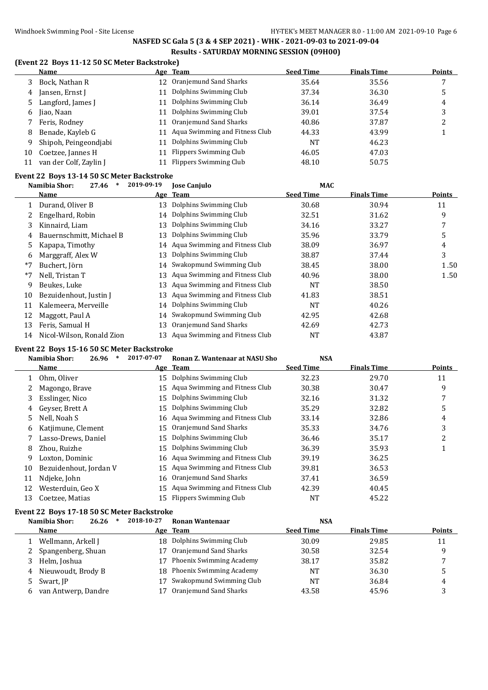# **(Event 22 Boys 11-12 50 SC Meter Backstroke)**

|    | Name                   |    | Age Team                       | <b>Seed Time</b> | <b>Finals Time</b> | <b>Points</b> |
|----|------------------------|----|--------------------------------|------------------|--------------------|---------------|
| 3  | Bock, Nathan R         | 12 | Oranjemund Sand Sharks         | 35.64            | 35.56              |               |
| 4  | Jansen, Ernst J        | 11 | Dolphins Swimming Club         | 37.34            | 36.30              | 5             |
|    | Langford, James J      | 11 | Dolphins Swimming Club         | 36.14            | 36.49              | 4             |
| 6  | Jiao, Naan             | 11 | Dolphins Swimming Club         | 39.01            | 37.54              | 3             |
|    | Feris, Rodney          | 11 | Oranjemund Sand Sharks         | 40.86            | 37.87              | ▵             |
| 8  | Benade, Kayleb G       | 11 | Aqua Swimming and Fitness Club | 44.33            | 43.99              |               |
| 9  | Shipoh, Peingeondjabi  | 11 | Dolphins Swimming Club         | NT               | 46.23              |               |
| 10 | Coetzee, Jannes H      | 11 | <b>Flippers Swimming Club</b>  | 46.05            | 47.03              |               |
| 11 | van der Colf, Zaylin J | 11 | <b>Flippers Swimming Club</b>  | 48.10            | 50.75              |               |

# **Event 22 Boys 13-14 50 SC Meter Backstroke**

|      | Namibia Shor:<br>27.46<br>$\ast$ | 2019-09-19 | <b>Jose Canjulo</b>               | <b>MAC</b>       |                    |               |
|------|----------------------------------|------------|-----------------------------------|------------------|--------------------|---------------|
|      | Name                             |            | Age Team                          | <b>Seed Time</b> | <b>Finals Time</b> | <b>Points</b> |
|      | Durand, Oliver B                 | 13         | Dolphins Swimming Club            | 30.68            | 30.94              | 11            |
|      | Engelhard, Robin                 |            | 14 Dolphins Swimming Club         | 32.51            | 31.62              | 9             |
| 3    | Kinnaird, Liam                   | 13         | Dolphins Swimming Club            | 34.16            | 33.27              | 7             |
| 4    | Bauernschmitt, Michael B         | 13.        | Dolphins Swimming Club            | 35.96            | 33.79              | 5             |
| 5.   | Kapapa, Timothy                  |            | 14 Aqua Swimming and Fitness Club | 38.09            | 36.97              | 4             |
| 6    | Marggraff, Alex W                | 13         | Dolphins Swimming Club            | 38.87            | 37.44              | 3             |
| $*7$ | Buchert, Jörn                    |            | 14 Swakopmund Swimming Club       | 38.45            | 38.00              | 1.50          |
| $*7$ | Nell, Tristan T                  | 13         | Aqua Swimming and Fitness Club    | 40.96            | 38.00              | 1.50          |
| 9    | Beukes, Luke                     | 13         | Aqua Swimming and Fitness Club    | NT               | 38.50              |               |
| 10   | Bezuidenhout, Justin J           | 13         | Aqua Swimming and Fitness Club    | 41.83            | 38.51              |               |
| 11   | Kalemeera, Merveille             |            | 14 Dolphins Swimming Club         | NT               | 40.26              |               |
| 12   | Maggott, Paul A                  | 14         | Swakopmund Swimming Club          | 42.95            | 42.68              |               |
| 13   | Feris, Samual H                  | 13.        | Oranjemund Sand Sharks            | 42.69            | 42.73              |               |
| 14   | Nicol-Wilson, Ronald Zion        | 13         | Aqua Swimming and Fitness Club    | NT               | 43.87              |               |
|      |                                  |            |                                   |                  |                    |               |

### **Event 22 Boys 15-16 50 SC Meter Backstroke**

|    | Namibia Shor:<br>$\ast$<br>26.96 | 2017-07-07 | Ronan Z. Wantenaar at NASU Sho    | <b>NSA</b>       |                    |               |
|----|----------------------------------|------------|-----------------------------------|------------------|--------------------|---------------|
|    | Name                             |            | Age Team                          | <b>Seed Time</b> | <b>Finals Time</b> | <b>Points</b> |
|    | Ohm, Oliver                      |            | 15 Dolphins Swimming Club         | 32.23            | 29.70              | 11            |
|    | Magongo, Brave                   |            | 15 Aqua Swimming and Fitness Club | 30.38            | 30.47              | 9             |
| 3  | Esslinger, Nico                  | 15         | Dolphins Swimming Club            | 32.16            | 31.32              |               |
| 4  | Geyser, Brett A                  | 15         | Dolphins Swimming Club            | 35.29            | 32.82              | 5             |
| 5  | Nell, Noah S                     |            | 16 Agua Swimming and Fitness Club | 33.14            | 32.86              | 4             |
| 6  | Katjimune, Clement               | 15         | Oranjemund Sand Sharks            | 35.33            | 34.76              | 3             |
|    | Lasso-Drews, Daniel              | 15         | Dolphins Swimming Club            | 36.46            | 35.17              | 2             |
| 8  | Zhou, Ruizhe                     | 15         | Dolphins Swimming Club            | 36.39            | 35.93              |               |
| 9  | Loxton, Dominic                  |            | 16 Agua Swimming and Fitness Club | 39.19            | 36.25              |               |
| 10 | Bezuidenhout, Jordan V           |            | 15 Agua Swimming and Fitness Club | 39.81            | 36.53              |               |
| 11 | Ndjeke, John                     |            | 16 Oranjemund Sand Sharks         | 37.41            | 36.59              |               |
| 12 | Westerduin, Geo X                | 15         | Aqua Swimming and Fitness Club    | 42.39            | 40.45              |               |
| 13 | Coetzee, Matias                  | 15.        | Flippers Swimming Club            | NT               | 45.22              |               |

# **Event 22 Boys 17-18 50 SC Meter Backstroke**

| 26.26               | 2018-10-27                                                                                                             | Ronan Wantenaar          | <b>NSA</b>                                                           |                    |               |
|---------------------|------------------------------------------------------------------------------------------------------------------------|--------------------------|----------------------------------------------------------------------|--------------------|---------------|
| Name                |                                                                                                                        |                          | <b>Seed Time</b>                                                     | <b>Finals Time</b> | <b>Points</b> |
|                     |                                                                                                                        |                          | 30.09                                                                | 29.85              | 11            |
|                     |                                                                                                                        | Oranjemund Sand Sharks   | 30.58                                                                | 32.54              | q             |
|                     | 17                                                                                                                     | Phoenix Swimming Academy | 38.17                                                                | 35.82              |               |
|                     |                                                                                                                        |                          | <b>NT</b>                                                            | 36.30              |               |
|                     |                                                                                                                        | Swakopmund Swimming Club | <b>NT</b>                                                            | 36.84              | 4             |
| van Antwerp, Dandre |                                                                                                                        | Oranjemund Sand Sharks   | 43.58                                                                | 45.96              |               |
|                     | Namibia Shor:<br>1 Wellmann, Arkell J<br>2 Spangenberg, Shuan<br>3 Helm, Joshua<br>4 Nieuwoudt, Brody B<br>5 Swart, IP |                          | Age Team<br>18 Dolphins Swimming Club<br>18 Phoenix Swimming Academy |                    |               |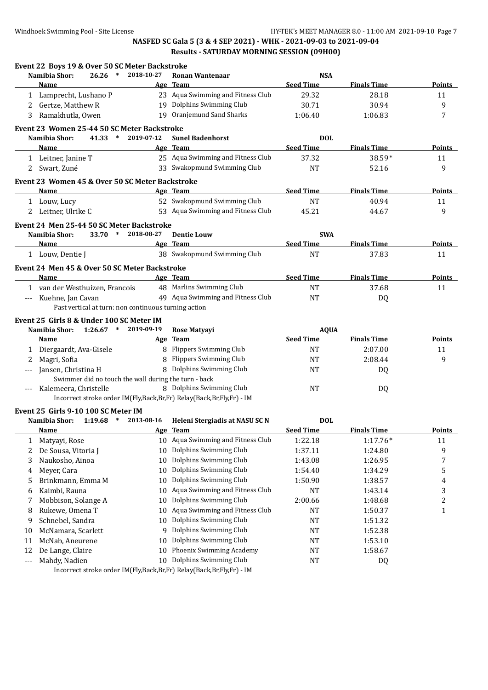|                          | Event 22 Boys 19 & Over 50 SC Meter Backstroke                       |            |                                    |                                |                    |                  |
|--------------------------|----------------------------------------------------------------------|------------|------------------------------------|--------------------------------|--------------------|------------------|
|                          | 26.26<br>$\ast$<br>Namibia Shor:<br><b>Name</b>                      | 2018-10-27 | <b>Ronan Wantenaar</b><br>Age Team | <b>NSA</b><br><b>Seed Time</b> | <b>Finals Time</b> | Points           |
|                          | 1 Lamprecht, Lushano P                                               |            | 23 Aqua Swimming and Fitness Club  | 29.32                          | 28.18              | 11               |
|                          | 2 Gertze, Matthew R                                                  |            | 19 Dolphins Swimming Club          | 30.71                          | 30.94              | 9                |
| 3                        | Ramakhutla, Owen                                                     |            | 19 Oranjemund Sand Sharks          | 1:06.40                        | 1:06.83            | 7                |
|                          |                                                                      |            |                                    |                                |                    |                  |
|                          | Event 23 Women 25-44 50 SC Meter Backstroke                          |            |                                    |                                |                    |                  |
|                          | Namibia Shor:<br>$41.33$ *                                           | 2019-07-12 | <b>Sunel Badenhorst</b>            | <b>DOL</b>                     |                    |                  |
|                          | Name                                                                 |            | Age Team                           | <b>Seed Time</b>               | <b>Finals Time</b> | <b>Points</b>    |
|                          | 1 Leitner, Janine T                                                  |            | 25 Aqua Swimming and Fitness Club  | 37.32                          | 38.59*             | 11               |
|                          | 2 Swart, Zuné                                                        |            | 33 Swakopmund Swimming Club        | NT                             | 52.16              | 9                |
|                          | Event 23 Women 45 & Over 50 SC Meter Backstroke                      |            |                                    |                                |                    |                  |
|                          | <b>Name</b>                                                          |            | Age Team                           | <b>Seed Time</b>               | <b>Finals Time</b> | <b>Points</b>    |
|                          | 1 Louw, Lucy                                                         |            | 52 Swakopmund Swimming Club        | <b>NT</b>                      | 40.94              | 11               |
| 2                        | Leitner, Ulrike C                                                    |            | 53 Aqua Swimming and Fitness Club  | 45.21                          | 44.67              | 9                |
|                          | Event 24 Men 25-44 50 SC Meter Backstroke                            |            |                                    |                                |                    |                  |
|                          | Namibia Shor:<br>$33.70*$                                            | 2018-08-27 | <b>Dentie Louw</b>                 | <b>SWA</b>                     |                    |                  |
|                          | Name                                                                 |            | Age Team                           | <b>Seed Time</b>               | <b>Finals Time</b> | <b>Points</b>    |
|                          | 1 Louw, Dentie J                                                     |            | 38 Swakopmund Swimming Club        | <b>NT</b>                      | 37.83              | 11               |
|                          |                                                                      |            |                                    |                                |                    |                  |
|                          | Event 24 Men 45 & Over 50 SC Meter Backstroke<br><b>Name</b>         |            |                                    |                                |                    |                  |
|                          |                                                                      |            | Age Team                           | <b>Seed Time</b>               | <b>Finals Time</b> | Points           |
|                          | 1 van der Westhuizen, Francois                                       |            | 48 Marlins Swimming Club           | <b>NT</b>                      | 37.68              | 11               |
| $\hspace{0.05cm} \ldots$ | Kuehne, Jan Cavan                                                    |            | 49 Aqua Swimming and Fitness Club  | <b>NT</b>                      | DQ                 |                  |
|                          | Past vertical at turn: non continuous turning action                 |            |                                    |                                |                    |                  |
|                          | Event 25 Girls 8 & Under 100 SC Meter IM                             |            |                                    |                                |                    |                  |
|                          | $1:26.67$ *<br>Namibia Shor:                                         | 2019-09-19 | Rose Matyayi                       | <b>AQUA</b>                    |                    |                  |
|                          | <b>Name</b>                                                          |            | Age Team                           | <b>Seed Time</b>               | <b>Finals Time</b> | <b>Points</b>    |
|                          | 1 Diergaardt, Ava-Gisele                                             |            | 8 Flippers Swimming Club           | NT                             | 2:07.00            | 11               |
| 2                        | Magri, Sofia                                                         |            | 8 Flippers Swimming Club           | NT                             | 2:08.44            | 9                |
|                          | Jansen, Christina H                                                  |            | 8 Dolphins Swimming Club           | NT                             | DQ                 |                  |
|                          | Swimmer did no touch the wall during the turn - back                 |            |                                    |                                |                    |                  |
|                          | Kalemeera, Christelle                                                |            |                                    |                                |                    |                  |
| ---                      |                                                                      |            | 8 Dolphins Swimming Club           | <b>NT</b>                      | DQ                 |                  |
|                          | Incorrect stroke order IM(Fly,Back,Br,Fr) Relay(Back,Br,Fly,Fr) - IM |            |                                    |                                |                    |                  |
|                          | Event 25 Girls 9-10 100 SC Meter IM                                  |            |                                    |                                |                    |                  |
|                          | $1:19.68$ *<br>Namibia Shor:                                         | 2013-08-16 | Heleni Stergiadis at NASU SC N     | <b>DOL</b>                     |                    |                  |
|                          | Name                                                                 |            | Age Team                           | Seed Time                      | <b>Finals Time</b> | Points           |
| 1                        | Matyayi, Rose                                                        |            | 10 Aqua Swimming and Fitness Club  | 1:22.18                        | $1:17.76*$         | 11               |
| 2                        | De Sousa, Vitoria J                                                  | 10         | Dolphins Swimming Club             | 1:37.11                        | 1:24.80            | 9                |
| 3                        | Naukosho, Ainoa                                                      | 10         | Dolphins Swimming Club             | 1:43.08                        | 1:26.95            | 7                |
| 4                        | Meyer, Cara                                                          | 10         | Dolphins Swimming Club             | 1:54.40                        | 1:34.29            | 5                |
| 5                        | Brinkmann, Emma M                                                    | 10         | Dolphins Swimming Club             | 1:50.90                        | 1:38.57            | 4                |
| 6                        | Kaimbi, Rauna                                                        | 10         | Aqua Swimming and Fitness Club     | NT                             | 1:43.14            | 3                |
| 7                        | Mobbison, Solange A                                                  | 10         | Dolphins Swimming Club             | 2:00.66                        | 1:48.68            | $\boldsymbol{2}$ |
| 8                        | Rukewe, Omena T                                                      | 10         | Aqua Swimming and Fitness Club     | <b>NT</b>                      | 1:50.37            | $\mathbf{1}$     |
| 9                        | Schnebel, Sandra                                                     | 10         | Dolphins Swimming Club             | <b>NT</b>                      | 1:51.32            |                  |
| 10                       | McNamara, Scarlett                                                   | 9          | Dolphins Swimming Club             | <b>NT</b>                      | 1:52.38            |                  |
| 11                       | McNab, Aneurene                                                      | 10         | Dolphins Swimming Club             | NT                             | 1:53.10            |                  |
| 12                       |                                                                      | 10         | Phoenix Swimming Academy           |                                |                    |                  |
| ---                      | De Lange, Claire<br>Mahdy, Nadien                                    | 10         | Dolphins Swimming Club             | <b>NT</b><br>NT                | 1:58.67<br>DQ      |                  |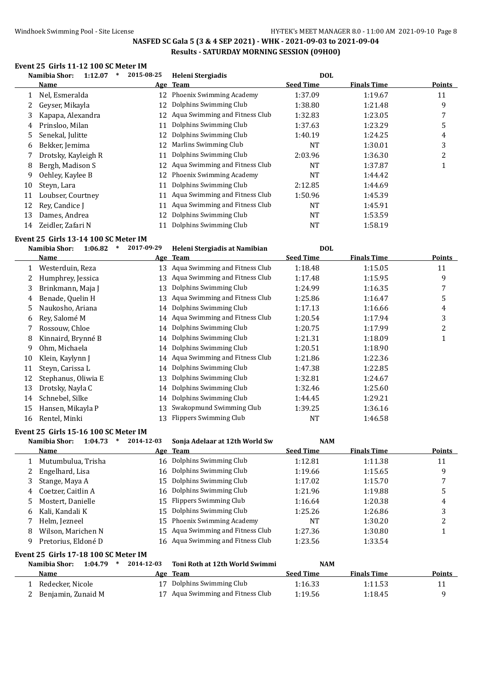# **Event 25 Girls 11-12 100 SC Meter IM**

|              | Namibia Shor:<br>1:12.07<br>$\ast$ | 2015-08-25 | Heleni Stergiadis               | <b>DOL</b>       |                    |        |
|--------------|------------------------------------|------------|---------------------------------|------------------|--------------------|--------|
|              | Name                               |            | Age Team                        | <b>Seed Time</b> | <b>Finals Time</b> | Points |
| $\mathbf{1}$ | Nel, Esmeralda                     | 12         | Phoenix Swimming Academy        | 1:37.09          | 1:19.67            | 11     |
|              | Geyser, Mikayla                    | 12         | Dolphins Swimming Club          | 1:38.80          | 1:21.48            | 9      |
| 3            | Kapapa, Alexandra                  | 12         | Aqua Swimming and Fitness Club  | 1:32.83          | 1:23.05            | 7      |
| 4            | Prinsloo, Milan                    | 11         | Dolphins Swimming Club          | 1:37.63          | 1:23.29            | 5      |
| 5.           | Senekal, Julitte                   | 12         | Dolphins Swimming Club          | 1:40.19          | 1:24.25            | 4      |
| 6            | Bekker, Jemima                     | 12         | Marlins Swimming Club           | NT               | 1:30.01            | 3      |
|              | Drotsky, Kayleigh R                | 11         | Dolphins Swimming Club          | 2:03.96          | 1:36.30            | 2      |
| 8            | Bergh, Madison S                   | 12         | Aqua Swimming and Fitness Club  | NT               | 1:37.87            |        |
| 9            | Oehley, Kaylee B                   | 12         | <b>Phoenix Swimming Academy</b> | NT               | 1:44.42            |        |
| 10           | Steyn, Lara                        | 11         | Dolphins Swimming Club          | 2:12.85          | 1:44.69            |        |
| 11           | Loubser, Courtney                  | 11         | Aqua Swimming and Fitness Club  | 1:50.96          | 1:45.39            |        |
| 12           | Rev. Candice I                     | 11         | Aqua Swimming and Fitness Club  | NT               | 1:45.91            |        |
| 13           | Dames, Andrea                      | 12         | Dolphins Swimming Club          | NT               | 1:53.59            |        |
| 14           | Zeidler, Zafari N                  | 11         | Dolphins Swimming Club          | NT               | 1:58.19            |        |
|              |                                    |            |                                 |                  |                    |        |

#### **Event 25 Girls 13-14 100 SC Meter IM**

|    | Namibia Shor:<br>1:06.82<br>$\ast$ | 2017-09-29 | Heleni Stergiadis at Namibian  | <b>DOL</b>       |                    |        |
|----|------------------------------------|------------|--------------------------------|------------------|--------------------|--------|
|    | Name                               |            | Age Team                       | <b>Seed Time</b> | <b>Finals Time</b> | Points |
|    | Westerduin, Reza                   |            | Aqua Swimming and Fitness Club | 1:18.48          | 1:15.05            | 11     |
|    | Humphrey, Jessica                  | 13         | Aqua Swimming and Fitness Club | 1:17.48          | 1:15.95            | 9      |
| 3. | Brinkmann, Maja J                  | 13         | Dolphins Swimming Club         | 1:24.99          | 1:16.35            | 7      |
| 4  | Benade, Quelin H                   | 13         | Aqua Swimming and Fitness Club | 1:25.86          | 1:16.47            | 5      |
| 5. | Naukosho, Ariana                   | 14         | Dolphins Swimming Club         | 1:17.13          | 1:16.66            | 4      |
| 6  | Rey, Salomé M                      | 14         | Aqua Swimming and Fitness Club | 1:20.54          | 1:17.94            | 3      |
|    | Rossouw, Chloe                     | 14         | Dolphins Swimming Club         | 1:20.75          | 1:17.99            | 2      |
| 8  | Kinnaird, Brynné B                 | 14         | Dolphins Swimming Club         | 1:21.31          | 1:18.09            | 1      |
| 9  | Ohm, Michaela                      | 14         | Dolphins Swimming Club         | 1:20.51          | 1:18.90            |        |
| 10 | Klein, Kaylynn J                   | 14         | Aqua Swimming and Fitness Club | 1:21.86          | 1:22.36            |        |
| 11 | Steyn, Carissa L                   | 14         | Dolphins Swimming Club         | 1:47.38          | 1:22.85            |        |
| 12 | Stephanus, Oliwia E                | 13         | Dolphins Swimming Club         | 1:32.81          | 1:24.67            |        |
| 13 | Drotsky, Nayla C                   | 14         | Dolphins Swimming Club         | 1:32.46          | 1:25.60            |        |
| 14 | Schnebel, Silke                    | 14         | Dolphins Swimming Club         | 1:44.45          | 1:29.21            |        |
| 15 | Hansen, Mikayla P                  | 13         | Swakopmund Swimming Club       | 1:39.25          | 1:36.16            |        |
| 16 | Rentel, Minki                      | 13         | <b>Flippers Swimming Club</b>  | <b>NT</b>        | 1:46.58            |        |

#### **Event 25 Girls 15-16 100 SC Meter IM**

l,

|    | Namibia Shor:<br>1:04.73<br>$\ast$    | 2014-12-03 | Sonja Adelaar at 12th World Sw    | <b>NAM</b>       |                    |               |
|----|---------------------------------------|------------|-----------------------------------|------------------|--------------------|---------------|
|    | <b>Name</b>                           |            | Age Team                          | <b>Seed Time</b> | <b>Finals Time</b> | <b>Points</b> |
|    | Mutumbulua, Trisha                    |            | 16 Dolphins Swimming Club         | 1:12.81          | 1:11.38            | 11            |
| 2  | Engelhard, Lisa                       |            | 16 Dolphins Swimming Club         | 1:19.66          | 1:15.65            | 9             |
| 3  | Stange, Maya A                        |            | 15 Dolphins Swimming Club         | 1:17.02          | 1:15.70            |               |
| 4  | Coetzer, Caitlin A                    |            | 16 Dolphins Swimming Club         | 1:21.96          | 1:19.88            | 5             |
| 5. | Mostert. Danielle                     |            | 15 Flippers Swimming Club         | 1:16.64          | 1:20.38            | 4             |
| 6  | Kali, Kandali K                       |            | 15 Dolphins Swimming Club         | 1:25.26          | 1:26.86            | 3             |
|    | Helm, Jezneel                         |            | 15 Phoenix Swimming Academy       | NT               | 1:30.20            | C             |
| 8  | Wilson, Marichen N                    |            | 15 Agua Swimming and Fitness Club | 1:27.36          | 1:30.80            |               |
| 9  | Pretorius. Eldoné D                   |            | 16 Aqua Swimming and Fitness Club | 1:23.56          | 1:33.54            |               |
|    | Event 25  Girls 17-18 100 SC Meter IM |            |                                   |                  |                    |               |
|    | Namibia Shor:<br>1:04.79              | 2014-12-03 | Toni Roth at 12th World Swimmi    | <b>NAM</b>       |                    |               |
|    | Name                                  |            | Age Team                          | <b>Seed Time</b> | <b>Finals Time</b> | Points        |
|    | Redecker, Nicole                      | 17         | Dolphins Swimming Club            | 1:16.33          | 1:11.53            | 11            |

2 Benjamin, Zunaid M 17 Aqua Swimming and Fitness Club 1:19.56 1:18.45 9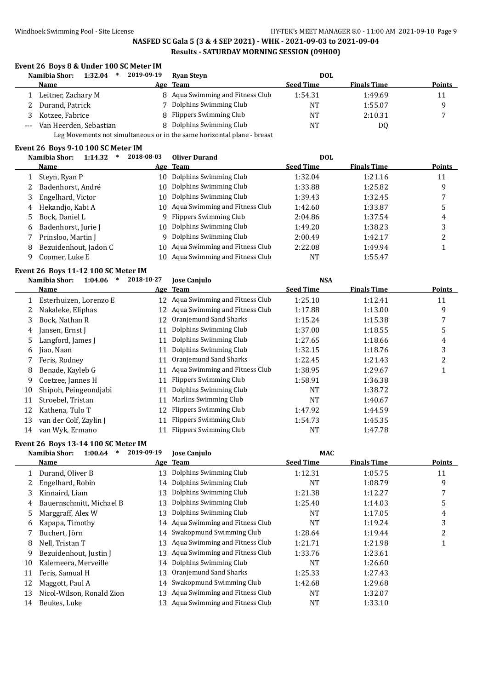|              | Namibia Shor:<br>$1:32.04$ *            | 2019-09-19 | <b>Ryan Steyn</b>                                                       | <b>DOL</b>       |                    |                         |
|--------------|-----------------------------------------|------------|-------------------------------------------------------------------------|------------------|--------------------|-------------------------|
|              | Name                                    |            | Age Team                                                                | <b>Seed Time</b> | <b>Finals Time</b> | <b>Points</b>           |
| 1            | Leitner, Zachary M                      |            | 8 Aqua Swimming and Fitness Club                                        | 1:54.31          | 1:49.69            | 11                      |
| 2            | Durand, Patrick                         |            | 7 Dolphins Swimming Club                                                | <b>NT</b>        | 1:55.07            | 9                       |
| 3            | Kotzee, Fabrice                         |            | 8 Flippers Swimming Club                                                | <b>NT</b>        | 2:10.31            | 7                       |
| $---$        | Van Heerden, Sebastian                  |            | 8 Dolphins Swimming Club                                                | <b>NT</b>        | <b>DQ</b>          |                         |
|              |                                         |            | Leg Movements not simultaneous or in the same horizontal plane - breast |                  |                    |                         |
|              | Event 26 Boys 9-10 100 SC Meter IM      |            |                                                                         |                  |                    |                         |
|              | $1:14.32$ * 2018-08-03<br>Namibia Shor: |            | <b>Oliver Durand</b>                                                    | <b>DOL</b>       |                    |                         |
|              | <b>Name</b>                             |            | Age Team                                                                | <b>Seed Time</b> | <b>Finals Time</b> | <b>Points</b>           |
| 1            | Steyn, Ryan P                           |            | 10 Dolphins Swimming Club                                               | 1:32.04          | 1:21.16            | 11                      |
| 2            | Badenhorst, André                       |            | 10 Dolphins Swimming Club                                               | 1:33.88          | 1:25.82            | 9                       |
| 3            | Engelhard, Victor                       | 10         | Dolphins Swimming Club                                                  | 1:39.43          | 1:32.45            | 7                       |
| 4            | Hekandjo, Kabi A                        |            | 10 Aqua Swimming and Fitness Club                                       | 1:42.60          | 1:33.87            | 5                       |
| 5            | Bock, Daniel L                          |            | 9 Flippers Swimming Club                                                | 2:04.86          | 1:37.54            | $\overline{\mathbf{4}}$ |
| 6            | Badenhorst, Jurie J                     |            | 10 Dolphins Swimming Club                                               | 1:49.20          | 1:38.23            | 3                       |
| 7            | Prinsloo, Martin J                      | 9          | Dolphins Swimming Club                                                  | 2:00.49          | 1:42.17            | $\boldsymbol{2}$        |
| 8            | Bezuidenhout, Jadon C                   |            | 10 Aqua Swimming and Fitness Club                                       | 2:22.08          | 1:49.94            | $\mathbf{1}$            |
| 9            | Coomer, Luke E                          |            | 10 Aqua Swimming and Fitness Club                                       | <b>NT</b>        | 1:55.47            |                         |
|              | Event 26 Boys 11-12 100 SC Meter IM     |            |                                                                         |                  |                    |                         |
|              | Namibia Shor:<br>$1:04.06$ *            | 2018-10-27 | <b>Jose Canjulo</b>                                                     | <b>NSA</b>       |                    |                         |
|              | Name                                    |            | Age Team                                                                | <b>Seed Time</b> | <b>Finals Time</b> | <b>Points</b>           |
|              | 1 Esterhuizen, Lorenzo E                |            | 12 Aqua Swimming and Fitness Club                                       | 1:25.10          | 1:12.41            | 11                      |
| 2            | Nakaleke, Eliphas                       |            | 12 Aqua Swimming and Fitness Club                                       | 1:17.88          | 1:13.00            | 9                       |
| 3            | Bock, Nathan R                          | 12         | Oranjemund Sand Sharks                                                  | 1:15.24          | 1:15.38            | 7                       |
| 4            | Jansen, Ernst J                         | 11         | Dolphins Swimming Club                                                  | 1:37.00          | 1:18.55            | 5                       |
| 5            | Langford, James J                       | 11         | Dolphins Swimming Club                                                  | 1:27.65          | 1:18.66            | 4                       |
| 6            | Jiao, Naan                              | 11         | Dolphins Swimming Club                                                  | 1:32.15          | 1:18.76            | 3                       |
| 7            | Feris, Rodney                           | 11         | Oranjemund Sand Sharks                                                  | 1:22.45          | 1:21.43            | $\boldsymbol{2}$        |
| 8            | Benade, Kayleb G                        |            | 11 Aqua Swimming and Fitness Club                                       | 1:38.95          | 1:29.67            | $\mathbf{1}$            |
| 9            | Coetzee, Jannes H                       |            | 11 Flippers Swimming Club                                               | 1:58.91          | 1:36.38            |                         |
| 10           | Shipoh, Peingeondjabi                   | 11         | Dolphins Swimming Club                                                  | NT               | 1:38.72            |                         |
| 11           | Stroebel, Tristan                       | 11         | Marlins Swimming Club                                                   | NT               | 1:40.67            |                         |
| 12           | Kathena, Tulo T                         |            | 12 Flippers Swimming Club                                               | 1:47.92          | 1:44.59            |                         |
| 13           | van der Colf, Zaylin J                  |            | 11 Flippers Swimming Club                                               | 1:54.73          | 1:45.35            |                         |
|              | 14 van Wyk, Ermano                      |            | 11 Flippers Swimming Club                                               | NT.              | 1:47.78            |                         |
|              | Event 26 Boys 13-14 100 SC Meter IM     |            |                                                                         |                  |                    |                         |
|              | Namibia Shor:<br>$1:00.64$ *            | 2019-09-19 | Jose Canjulo                                                            | MAC              |                    |                         |
|              | Name                                    |            | Age Team                                                                | <b>Seed Time</b> | <b>Finals Time</b> | <b>Points</b>           |
| $\mathbf{1}$ | Durand, Oliver B                        |            | 13 Dolphins Swimming Club                                               | 1:12.31          | 1:05.75            | 11                      |
| 2            | Engelhard, Robin                        | 14         | Dolphins Swimming Club                                                  | NT               | 1:08.79            | 9                       |
| 3            | Kinnaird, Liam                          | 13         | Dolphins Swimming Club                                                  | 1:21.38          | 1:12.27            | 7                       |
| 4            | Bauernschmitt, Michael B                | 13         | Dolphins Swimming Club                                                  | 1:25.40          | 1:14.03            | 5                       |
| 5            | Marggraff, Alex W                       | 13         | Dolphins Swimming Club                                                  | NT               | 1:17.05            | $\overline{\mathbf{4}}$ |
| 6            | Kapapa, Timothy                         | 14         | Aqua Swimming and Fitness Club                                          | NT               | 1:19.24            | 3                       |
| 7            | Buchert, Jörn                           | 14         | Swakopmund Swimming Club                                                | 1:28.64          | 1:19.44            | $\sqrt{2}$              |
| 8            | Nell, Tristan T                         | 13         | Aqua Swimming and Fitness Club                                          | 1:21.71          | 1:21.98            | $\mathbf{1}$            |
| 9            | Bezuidenhout, Justin J                  | 13         | Aqua Swimming and Fitness Club                                          | 1:33.76          | 1:23.61            |                         |
| 10           | Kalemeera, Merveille                    | 14         | Dolphins Swimming Club                                                  | NT               | 1:26.60            |                         |
| 11           | Feris, Samual H                         | 13         | Oranjemund Sand Sharks                                                  | 1:25.33          | 1:27.43            |                         |
| 12           | Maggott, Paul A                         | 14         | Swakopmund Swimming Club                                                | 1:42.68          | 1:29.68            |                         |
| 13           | Nicol-Wilson, Ronald Zion               |            | 13 Aqua Swimming and Fitness Club                                       | NT               | 1:32.07            |                         |
| 14           | Beukes, Luke                            |            | 13 Aqua Swimming and Fitness Club                                       | NT               | 1:33.10            |                         |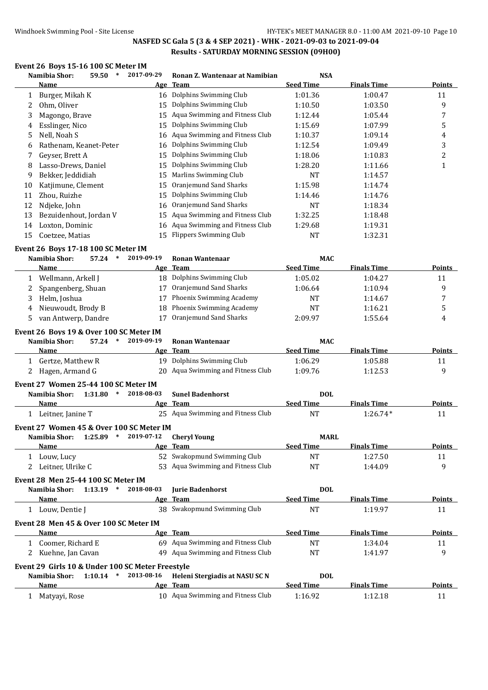### Windhoek Swimming Pool - Site License **HY-TEK's MEET MANAGER 8.0 - 11:00 AM 2021-09-10** Page 10

# **NASFED SC Gala 5 (3 & 4 SEP 2021) - WHK - 2021-09-03 to 2021-09-04 Results - SATURDAY MORNING SESSION (09H00)**

### **Event 26 Boys 15-16 100 SC Meter IM**

|    | Namibia Shor:<br>59.50 | 2017-09-29 | Ronan Z. Wantenaar at Namibian    | <b>NSA</b>       |             |               |
|----|------------------------|------------|-----------------------------------|------------------|-------------|---------------|
|    | <b>Name</b>            |            | Age Team                          | <b>Seed Time</b> | Finals Time | <b>Points</b> |
|    | Burger, Mikah K        |            | 16 Dolphins Swimming Club         | 1:01.36          | 1:00.47     | 11            |
|    | Ohm, Oliver            | 15         | Dolphins Swimming Club            | 1:10.50          | 1:03.50     | 9             |
| 3  | Magongo, Brave         | 15         | Aqua Swimming and Fitness Club    | 1:12.44          | 1:05.44     | 7             |
| 4  | Esslinger, Nico        | 15         | Dolphins Swimming Club            | 1:15.69          | 1:07.99     | 5             |
| 5  | Nell, Noah S           |            | 16 Aqua Swimming and Fitness Club | 1:10.37          | 1:09.14     | 4             |
| 6  | Rathenam, Keanet-Peter |            | 16 Dolphins Swimming Club         | 1:12.54          | 1:09.49     | 3             |
|    | Geyser, Brett A        | 15         | Dolphins Swimming Club            | 1:18.06          | 1:10.83     | 2             |
| 8  | Lasso-Drews, Daniel    | 15         | Dolphins Swimming Club            | 1:28.20          | 1:11.66     | 1             |
| 9  | Bekker, Jeddidiah      | 15         | Marlins Swimming Club             | NT               | 1:14.57     |               |
| 10 | Katjimune, Clement     | 15         | Oranjemund Sand Sharks            | 1:15.98          | 1:14.74     |               |
| 11 | Zhou, Ruizhe           | 15         | Dolphins Swimming Club            | 1:14.46          | 1:14.76     |               |
| 12 | Ndjeke, John           |            | 16 Oranjemund Sand Sharks         | <b>NT</b>        | 1:18.34     |               |
| 13 | Bezuidenhout, Jordan V | 15         | Aqua Swimming and Fitness Club    | 1:32.25          | 1:18.48     |               |
| 14 | Loxton, Dominic        |            | 16 Aqua Swimming and Fitness Club | 1:29.68          | 1:19.31     |               |
| 15 | Coetzee, Matias        |            | 15 Flippers Swimming Club         | NT               | 1:32.31     |               |

#### **Event 26 Boys 17-18 100 SC Meter IM**

| 57.24<br>Namibia Shor:<br>∗ | 2019-09-19 | Ronan Wantenaar             | <b>MAC</b>       |                    |        |
|-----------------------------|------------|-----------------------------|------------------|--------------------|--------|
| Name                        |            | Age Team                    | <b>Seed Time</b> | <b>Finals Time</b> | Points |
| Wellmann, Arkell J          |            | 18 Dolphins Swimming Club   | 1:05.02          | 1:04.27            | 11     |
| 2 Spangenberg, Shuan        |            | Oranjemund Sand Sharks      | 1:06.64          | 1:10.94            |        |
| Helm, Joshua                |            | Phoenix Swimming Academy    | <b>NT</b>        | 1:14.67            |        |
| 4 Nieuwoudt, Brody B        |            | 18 Phoenix Swimming Academy | <b>NT</b>        | 1:16.21            |        |
| van Antwerp, Dandre         |            | Oranjemund Sand Sharks      | 2:09.97          | 1:55.64            | 4      |

#### **Event 26 Boys 19 & Over 100 SC Meter IM**

| Namibia Shor:     | $57.24$ * | 2019-09-19 | Ronan Wantenaar                   | <b>MAC</b> |                    |               |
|-------------------|-----------|------------|-----------------------------------|------------|--------------------|---------------|
| <b>Name</b>       |           |            | Age Team                          | Seed Time  | <b>Finals Time</b> | <b>Points</b> |
| Gertze, Matthew R |           |            | 19 Dolphins Swimming Club         | 1:06.29    | 1:05.88            |               |
| Hagen, Armand G   |           |            | 20 Agua Swimming and Fitness Club | 1:09.76    | 1:12.53            |               |
|                   |           |            |                                   |            |                    |               |

# **Event 27 Women 25-44 100 SC Meter IM**

**Event 27 Women 45 & Over 100 SC Meter IM**

| Namibia Shor:<br>1:31.80 | 2018-08-03 | <b>Sunel Badenhorst</b>           | DOL              |                    |               |
|--------------------------|------------|-----------------------------------|------------------|--------------------|---------------|
| <b>Name</b>              |            | Age Team                          | <b>Seed Time</b> | <b>Finals Time</b> | <b>Points</b> |
| Leitner, Janine T        |            | 25 Agua Swimming and Fitness Club | NT               | $1:26.74*$         |               |

| Namibia Shor:     | 1:25.89 | 2019-07-12 | Chervl Young                      | <b>MARL</b>      |                    |        |
|-------------------|---------|------------|-----------------------------------|------------------|--------------------|--------|
| <b>Name</b>       |         |            | Age Team                          | <b>Seed Time</b> | <b>Finals Time</b> | Points |
| Louw, Lucy        |         |            | 52 Swakopmund Swimming Club       | ΝΊ               | 1:27.50            |        |
| Leitner. Ulrike C |         |            | 53 Agua Swimming and Fitness Club | ΝT               | 1:44.09            |        |

#### **Event 28 Men 25-44 100 SC Meter IM Namibia Shor: 1:13.19 \* 2018-08-03 Jurie Badenhorst DOL**

|                                        | Name                                             |            | Age Team                          | <b>Seed Time</b> | <b>Finals Time</b> | Points        |  |  |  |  |
|----------------------------------------|--------------------------------------------------|------------|-----------------------------------|------------------|--------------------|---------------|--|--|--|--|
|                                        | Louw, Dentie J                                   |            | 38 Swakopmund Swimming Club       | NT               | 1:19.97            | 11            |  |  |  |  |
| Event 28 Men 45 & Over 100 SC Meter IM |                                                  |            |                                   |                  |                    |               |  |  |  |  |
|                                        | <b>Name</b>                                      |            | Age Team                          | <b>Seed Time</b> | <b>Finals Time</b> | <b>Points</b> |  |  |  |  |
|                                        | 1 Coomer, Richard E                              |            | 69 Agua Swimming and Fitness Club | <b>NT</b>        | 1:34.04            | 11            |  |  |  |  |
|                                        | 2 Kuehne, Jan Cavan                              |            | 49 Aqua Swimming and Fitness Club | NT               | 1:41.97            | 9             |  |  |  |  |
|                                        | Event 29 Girls 10 & Under 100 SC Meter Freestyle |            |                                   |                  |                    |               |  |  |  |  |
|                                        | 1:10.14<br>Namibia Shor:<br>$\ast$               | 2013-08-16 | Heleni Stergiadis at NASU SC N    | DOL.             |                    |               |  |  |  |  |
|                                        | Name                                             |            | Age Team                          | <b>Seed Time</b> | <b>Finals Time</b> | Points        |  |  |  |  |
|                                        | Matyayi, Rose                                    | 10.        | Aqua Swimming and Fitness Club    | 1:16.92          | 1:12.18            | 11            |  |  |  |  |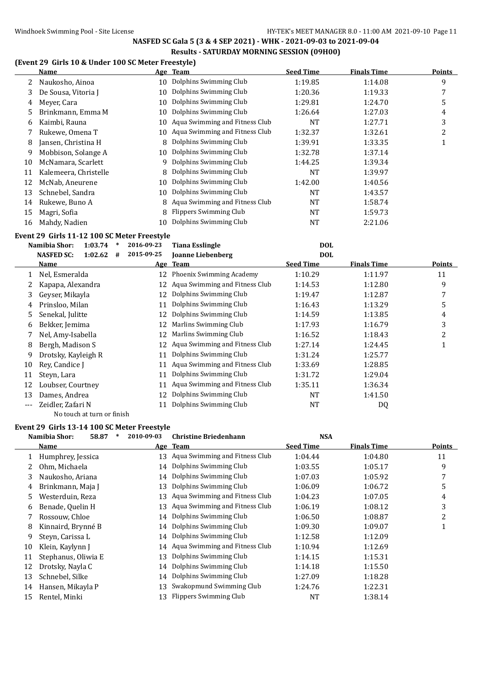# **(Event 29 Girls 10 & Under 100 SC Meter Freestyle)**

|    | Name                  |    | Age Team                       | <b>Seed Time</b> | <b>Finals Time</b> | <b>Points</b>  |
|----|-----------------------|----|--------------------------------|------------------|--------------------|----------------|
| 2  | Naukosho, Ainoa       | 10 | Dolphins Swimming Club         | 1:19.85          | 1:14.08            | 9              |
| 3  | De Sousa, Vitoria J   | 10 | Dolphins Swimming Club         | 1:20.36          | 1:19.33            | 7              |
| 4  | Meyer, Cara           | 10 | Dolphins Swimming Club         | 1:29.81          | 1:24.70            | 5              |
| 5. | Brinkmann, Emma M     | 10 | Dolphins Swimming Club         | 1:26.64          | 1:27.03            | 4              |
| 6  | Kaimbi, Rauna         | 10 | Aqua Swimming and Fitness Club | NT               | 1:27.71            | 3              |
|    | Rukewe, Omena T       | 10 | Aqua Swimming and Fitness Club | 1:32.37          | 1:32.61            | $\overline{2}$ |
| 8  | Jansen, Christina H   | 8  | Dolphins Swimming Club         | 1:39.91          | 1:33.35            |                |
| 9  | Mobbison, Solange A   | 10 | Dolphins Swimming Club         | 1:32.78          | 1:37.14            |                |
| 10 | McNamara, Scarlett    | 9  | Dolphins Swimming Club         | 1:44.25          | 1:39.34            |                |
| 11 | Kalemeera, Christelle | 8  | Dolphins Swimming Club         | NT               | 1:39.97            |                |
| 12 | McNab, Aneurene       | 10 | Dolphins Swimming Club         | 1:42.00          | 1:40.56            |                |
| 13 | Schnebel, Sandra      | 10 | Dolphins Swimming Club         | <b>NT</b>        | 1:43.57            |                |
| 14 | Rukewe, Buno A        | 8  | Aqua Swimming and Fitness Club | <b>NT</b>        | 1:58.74            |                |
| 15 | Magri, Sofia          | 8  | <b>Flippers Swimming Club</b>  | <b>NT</b>        | 1:59.73            |                |
| 16 | Mahdy, Nadien         | 10 | Dolphins Swimming Club         | NT               | 2:21.06            |                |
|    |                       |    |                                |                  |                    |                |

# **Event 29 Girls 11-12 100 SC Meter Freestyle**

|     | Namibia Shor:<br>1:03.74          | 2016-09-23 | <b>Tiana Esslingle</b>          | <b>DOL</b>       |                    |               |
|-----|-----------------------------------|------------|---------------------------------|------------------|--------------------|---------------|
|     | <b>NASFED SC:</b><br>1:02.62<br># | 2015-09-25 | <b>Joanne Liebenberg</b>        | <b>DOL</b>       |                    |               |
|     | <b>Name</b>                       |            | Age Team                        | <b>Seed Time</b> | <b>Finals Time</b> | <b>Points</b> |
|     | Nel, Esmeralda                    | 12         | <b>Phoenix Swimming Academy</b> | 1:10.29          | 1:11.97            | 11            |
|     | Kapapa, Alexandra                 | 12         | Aqua Swimming and Fitness Club  | 1:14.53          | 1:12.80            | 9             |
| 3   | Gevser, Mikavla                   | 12         | Dolphins Swimming Club          | 1:19.47          | 1:12.87            | 7             |
| 4   | Prinsloo, Milan                   | 11         | Dolphins Swimming Club          | 1:16.43          | 1:13.29            | 5             |
| 5.  | Senekal, Julitte                  | 12         | Dolphins Swimming Club          | 1:14.59          | 1:13.85            | 4             |
| 6   | Bekker, Jemima                    | 12         | Marlins Swimming Club           | 1:17.93          | 1:16.79            | 3             |
|     | Nel, Amy-Isabella                 | 12         | Marlins Swimming Club           | 1:16.52          | 1:18.43            | 2             |
| 8   | Bergh, Madison S                  | 12         | Aqua Swimming and Fitness Club  | 1:27.14          | 1:24.45            | 1             |
| 9   | Drotsky, Kayleigh R               | 11         | Dolphins Swimming Club          | 1:31.24          | 1:25.77            |               |
| 10  | Rev. Candice I                    | 11         | Aqua Swimming and Fitness Club  | 1:33.69          | 1:28.85            |               |
| 11  | Steyn, Lara                       | 11         | Dolphins Swimming Club          | 1:31.72          | 1:29.04            |               |
| 12  | Loubser, Courtney                 | 11         | Aqua Swimming and Fitness Club  | 1:35.11          | 1:36.34            |               |
| 13  | Dames, Andrea                     |            | Dolphins Swimming Club          | NT               | 1:41.50            |               |
| --- | Zeidler, Zafari N                 | 11         | Dolphins Swimming Club          | NT               | DQ                 |               |

# No touch at turn or finish

# **Event 29 Girls 13-14 100 SC Meter Freestyle**

|    | Namibia Shor:<br>58.87<br>∗ | 2010-09-03 | <b>Christine Briedenhann</b>      | <b>NSA</b>       |                    |               |
|----|-----------------------------|------------|-----------------------------------|------------------|--------------------|---------------|
|    | Name                        |            | Age Team                          | <b>Seed Time</b> | <b>Finals Time</b> | <b>Points</b> |
|    | Humphrey, Jessica           | 13         | Aqua Swimming and Fitness Club    | 1:04.44          | 1:04.80            | 11            |
|    | Ohm, Michaela               |            | 14 Dolphins Swimming Club         | 1:03.55          | 1:05.17            | 9             |
| 3  | Naukosho, Ariana            |            | 14 Dolphins Swimming Club         | 1:07.03          | 1:05.92            | 7             |
| 4  | Brinkmann, Maja J           | 13         | Dolphins Swimming Club            | 1:06.09          | 1:06.72            | 5             |
| 5. | Westerduin, Reza            | 13         | Aqua Swimming and Fitness Club    | 1:04.23          | 1:07.05            | 4             |
| 6  | Benade, Quelin H            | 13         | Aqua Swimming and Fitness Club    | 1:06.19          | 1:08.12            | 3             |
|    | Rossouw, Chloe              |            | 14 Dolphins Swimming Club         | 1:06.50          | 1:08.87            | 2             |
| 8  | Kinnaird, Brynné B          |            | 14 Dolphins Swimming Club         | 1:09.30          | 1:09.07            |               |
| 9  | Steyn, Carissa L            |            | 14 Dolphins Swimming Club         | 1:12.58          | 1:12.09            |               |
| 10 | Klein, Kaylynn J            |            | 14 Aqua Swimming and Fitness Club | 1:10.94          | 1:12.69            |               |
| 11 | Stephanus, Oliwia E         | 13         | Dolphins Swimming Club            | 1:14.15          | 1:15.31            |               |
| 12 | Drotsky, Nayla C            |            | 14 Dolphins Swimming Club         | 1:14.18          | 1:15.50            |               |
| 13 | Schnebel, Silke             |            | 14 Dolphins Swimming Club         | 1:27.09          | 1:18.28            |               |
| 14 | Hansen, Mikayla P           | 13         | Swakopmund Swimming Club          | 1:24.76          | 1:22.31            |               |
| 15 | Rentel, Minki               | 13         | Flippers Swimming Club            | <b>NT</b>        | 1:38.14            |               |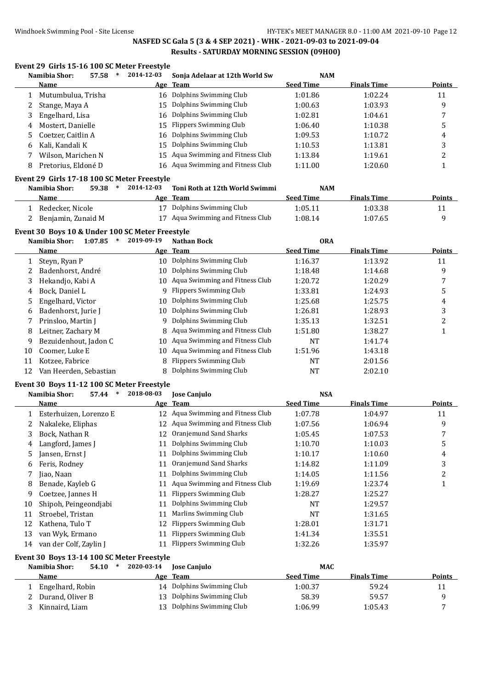# **Event 29 Girls 15-16 100 SC Meter Freestyle**

|              | Namibia Shor:                                               | 57.58<br>$\ast$   | 2014-12-03 | Sonja Adelaar at 12th World Sw                         | <b>NAM</b>       |                    |                         |
|--------------|-------------------------------------------------------------|-------------------|------------|--------------------------------------------------------|------------------|--------------------|-------------------------|
|              | Name                                                        |                   |            | Age Team                                               | <b>Seed Time</b> | <b>Finals Time</b> | Points                  |
| 1            | Mutumbulua, Trisha                                          |                   | 16         | Dolphins Swimming Club                                 | 1:01.86          | 1:02.24            | 11                      |
| 2            | Stange, Maya A                                              |                   | 15         | Dolphins Swimming Club                                 | 1:00.63          | 1:03.93            | 9                       |
| 3            | Engelhard, Lisa                                             |                   | 16         | Dolphins Swimming Club                                 | 1:02.81          | 1:04.61            | 7                       |
| 4            | Mostert, Danielle                                           |                   | 15         | <b>Flippers Swimming Club</b>                          | 1:06.40          | 1:10.38            | 5                       |
| 5            | Coetzer, Caitlin A                                          |                   | 16         | Dolphins Swimming Club                                 | 1:09.53          | 1:10.72            | 4                       |
| 6            | Kali, Kandali K                                             |                   | 15         | Dolphins Swimming Club                                 | 1:10.53          | 1:13.81            | 3                       |
| 7            | Wilson, Marichen N                                          |                   | 15         | Aqua Swimming and Fitness Club                         | 1:13.84          | 1:19.61            | 2                       |
| 8            | Pretorius, Eldoné D                                         |                   |            | 16 Aqua Swimming and Fitness Club                      | 1:11.00          | 1:20.60            | $\mathbf{1}$            |
|              |                                                             |                   |            |                                                        |                  |                    |                         |
|              | Event 29 Girls 17-18 100 SC Meter Freestyle                 |                   |            |                                                        |                  |                    |                         |
|              | Namibia Shor:                                               | 59.38<br>$\ast$   | 2014-12-03 | Toni Roth at 12th World Swimmi                         | <b>NAM</b>       |                    |                         |
|              | <b>Name</b>                                                 |                   |            | Age Team                                               | <b>Seed Time</b> | <b>Finals Time</b> | <b>Points</b>           |
| $\mathbf{1}$ | Redecker, Nicole                                            |                   |            | 17 Dolphins Swimming Club                              | 1:05.11          | 1:03.38            | 11                      |
| 2            | Benjamin, Zunaid M                                          |                   |            | 17 Aqua Swimming and Fitness Club                      | 1:08.14          | 1:07.65            | 9                       |
|              | Event 30 Boys 10 & Under 100 SC Meter Freestyle             |                   |            |                                                        |                  |                    |                         |
|              | Namibia Shor:                                               | 1:07.85<br>$\ast$ | 2019-09-19 | <b>Nathan Bock</b>                                     | <b>ORA</b>       |                    |                         |
|              | Name                                                        |                   |            | Age Team                                               | <b>Seed Time</b> | <b>Finals Time</b> | <b>Points</b>           |
| $\mathbf{1}$ | Steyn, Ryan P                                               |                   |            | 10 Dolphins Swimming Club                              | 1:16.37          | 1:13.92            | 11                      |
| 2            | Badenhorst, André                                           |                   | 10         | Dolphins Swimming Club                                 | 1:18.48          | 1:14.68            | 9                       |
| 3            | Hekandjo, Kabi A                                            |                   | 10         | Aqua Swimming and Fitness Club                         | 1:20.72          | 1:20.29            | 7                       |
| 4            | Bock, Daniel L                                              |                   | 9          | <b>Flippers Swimming Club</b>                          | 1:33.81          | 1:24.93            | 5                       |
| 5            | Engelhard, Victor                                           |                   | 10         | Dolphins Swimming Club                                 | 1:25.68          | 1:25.75            | 4                       |
| 6            | Badenhorst, Jurie J                                         |                   | 10         | Dolphins Swimming Club                                 | 1:26.81          | 1:28.93            | 3                       |
| 7            | Prinsloo, Martin J                                          |                   | 9          | Dolphins Swimming Club                                 | 1:35.13          | 1:32.51            | $\boldsymbol{2}$        |
| 8            | Leitner, Zachary M                                          |                   | 8          | Aqua Swimming and Fitness Club                         | 1:51.80          | 1:38.27            | 1                       |
| 9            | Bezuidenhout, Jadon C                                       |                   | 10         | Aqua Swimming and Fitness Club                         | <b>NT</b>        | 1:41.74            |                         |
| 10           | Coomer, Luke E                                              |                   | 10         | Aqua Swimming and Fitness Club                         | 1:51.96          | 1:43.18            |                         |
| 11           | Kotzee, Fabrice                                             |                   | 8          | <b>Flippers Swimming Club</b>                          | NT               | 2:01.56            |                         |
| 12           | Van Heerden, Sebastian                                      |                   | 8          | Dolphins Swimming Club                                 | <b>NT</b>        | 2:02.10            |                         |
|              |                                                             |                   |            |                                                        |                  |                    |                         |
|              | Event 30 Boys 11-12 100 SC Meter Freestyle<br>Namibia Shor: | 57.44<br>$\ast$   | 2018-08-03 |                                                        | <b>NSA</b>       |                    |                         |
|              | Name                                                        |                   |            | Jose Canjulo<br>Age Team                               | <b>Seed Time</b> | <b>Finals Time</b> | <b>Points</b>           |
|              |                                                             |                   |            | 12 Aqua Swimming and Fitness Club                      | 1:07.78          | 1:04.97            | 11                      |
|              | 1 Esterhuizen, Lorenzo E                                    |                   | 12         | Aqua Swimming and Fitness Club                         |                  |                    |                         |
| 2            | Nakaleke, Eliphas                                           |                   |            |                                                        | 1:07.56          | 1:06.94            | 9                       |
| 3            | Bock, Nathan R                                              |                   |            | 12 Oranjemund Sand Sharks<br>11 Dolphins Swimming Club | 1:05.45          | 1:07.53            | 7                       |
| 4            | Langford, James J                                           |                   |            |                                                        | 1:10.70          | 1:10.03            | 5                       |
| 5            | Jansen, Ernst J                                             |                   |            | 11 Dolphins Swimming Club<br>Oranjemund Sand Sharks    | 1:10.17          | 1:10.60            | $\overline{4}$          |
| 6            | Feris, Rodney                                               |                   | 11         |                                                        | 1:14.82          | 1:11.09            | 3                       |
| 7            | Jiao, Naan                                                  |                   | 11         | Dolphins Swimming Club                                 | 1:14.05          | 1:11.56            | $\overline{\mathbf{c}}$ |
| 8            | Benade, Kayleb G                                            |                   | 11         | Aqua Swimming and Fitness Club                         | 1:19.69          | 1:23.74            | $\mathbf{1}$            |
| 9            | Coetzee, Jannes H                                           |                   | 11         | Flippers Swimming Club                                 | 1:28.27          | 1:25.27            |                         |
| 10           | Shipoh, Peingeondjabi                                       |                   | 11         | Dolphins Swimming Club                                 | NT               | 1:29.57            |                         |
| 11           | Stroebel, Tristan                                           |                   | 11         | Marlins Swimming Club                                  | <b>NT</b>        | 1:31.65            |                         |
| 12           | Kathena, Tulo T                                             |                   | 12         | <b>Flippers Swimming Club</b>                          | 1:28.01          | 1:31.71            |                         |
| 13           | van Wyk, Ermano                                             |                   | 11         | <b>Flippers Swimming Club</b>                          | 1:41.34          | 1:35.51            |                         |
| 14           | van der Colf, Zaylin J                                      |                   |            | 11 Flippers Swimming Club                              | 1:32.26          | 1:35.97            |                         |
|              | Event 30 Boys 13-14 100 SC Meter Freestyle                  |                   |            |                                                        |                  |                    |                         |
|              | Namibia Shor:                                               | $54.10*$          | 2020-03-14 | <b>Jose Canjulo</b>                                    | <b>MAC</b>       |                    |                         |
|              | <b>Name</b>                                                 |                   |            | Age Team                                               | <b>Seed Time</b> | <b>Finals Time</b> | <b>Points</b>           |
| $\mathbf{1}$ | Engelhard, Robin                                            |                   |            | 14 Dolphins Swimming Club                              | 1:00.37          | 59.24              | 11                      |
| 2            | Durand, Oliver B                                            |                   | 13         | Dolphins Swimming Club                                 | 58.39            | 59.57              | 9                       |
| 3            | Kinnaird, Liam                                              |                   | 13         | Dolphins Swimming Club                                 | 1:06.99          | 1:05.43            | 7                       |
|              |                                                             |                   |            |                                                        |                  |                    |                         |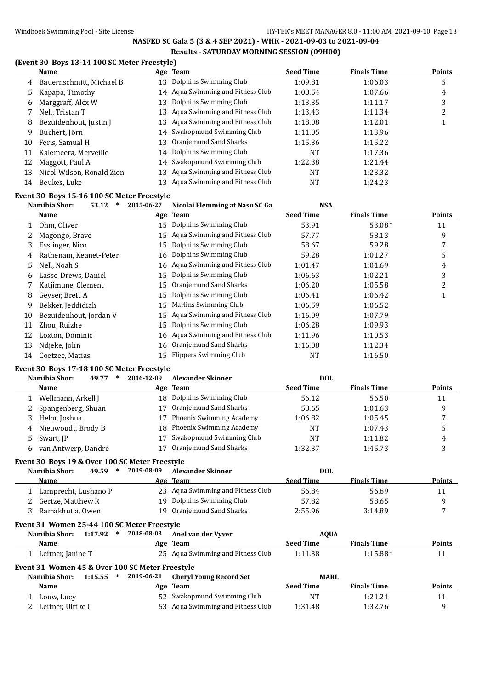# Windhoek Swimming Pool - Site License Management Communications HY-TEK's MEET MANAGER 8.0 - 11:00 AM 2021-09-10 Page 13

# **NASFED SC Gala 5 (3 & 4 SEP 2021) - WHK - 2021-09-03 to 2021-09-04 Results - SATURDAY MORNING SESSION (09H00)**

# **(Event 30 Boys 13-14 100 SC Meter Freestyle)**

|    | <b>Name</b>               |     | Age Team                          | <b>Seed Time</b> | <b>Finals Time</b> | Points |
|----|---------------------------|-----|-----------------------------------|------------------|--------------------|--------|
| 4  | Bauernschmitt, Michael B  | 13. | Dolphins Swimming Club            | 1:09.81          | 1:06.03            | 5      |
| 5. | Kapapa, Timothy           |     | 14 Aqua Swimming and Fitness Club | 1:08.54          | 1:07.66            | 4      |
| 6  | Marggraff, Alex W         | 13. | Dolphins Swimming Club            | 1:13.35          | 1:11.17            | 3      |
|    | Nell, Tristan T           | 13  | Aqua Swimming and Fitness Club    | 1:13.43          | 1:11.34            | h      |
| 8  | Bezuidenhout, Justin J    | 13. | Aqua Swimming and Fitness Club    | 1:18.08          | 1:12.01            |        |
| 9  | Buchert, Jörn             |     | 14 Swakopmund Swimming Club       | 1:11.05          | 1:13.96            |        |
| 10 | Feris, Samual H           |     | 13 Oranjemund Sand Sharks         | 1:15.36          | 1:15.22            |        |
| 11 | Kalemeera, Merveille      |     | 14 Dolphins Swimming Club         | <b>NT</b>        | 1:17.36            |        |
| 12 | Maggott, Paul A           |     | 14 Swakopmund Swimming Club       | 1:22.38          | 1:21.44            |        |
| 13 | Nicol-Wilson, Ronald Zion | 13. | Aqua Swimming and Fitness Club    | <b>NT</b>        | 1:23.32            |        |
| 14 | Beukes, Luke              | 13. | Aqua Swimming and Fitness Club    | NT               | 1:24.23            |        |

### **Event 30 Boys 15-16 100 SC Meter Freestyle**

|    | Namibia Shor:<br>53.12<br>$\ast$ | 2015-06-27 | Nicolai Flemming at Nasu SC Ga    | <b>NSA</b>       |                    |               |
|----|----------------------------------|------------|-----------------------------------|------------------|--------------------|---------------|
|    | Name                             |            | Age Team                          | <b>Seed Time</b> | <b>Finals Time</b> | <b>Points</b> |
|    | Ohm, Oliver                      | 15         | Dolphins Swimming Club            | 53.91            | $53.08*$           | 11            |
|    | Magongo, Brave                   | 15         | Aqua Swimming and Fitness Club    | 57.77            | 58.13              | 9             |
| 3  | Esslinger, Nico                  | 15         | Dolphins Swimming Club            | 58.67            | 59.28              | 7             |
| 4  | Rathenam, Keanet-Peter           | 16         | Dolphins Swimming Club            | 59.28            | 1:01.27            | 5             |
| 5  | Nell, Noah S                     |            | 16 Aqua Swimming and Fitness Club | 1:01.47          | 1:01.69            | 4             |
| 6  | Lasso-Drews, Daniel              | 15         | Dolphins Swimming Club            | 1:06.63          | 1:02.21            | 3             |
|    | Katjimune, Clement               | 15         | Oranjemund Sand Sharks            | 1:06.20          | 1:05.58            | 2             |
| 8  | Geyser, Brett A                  | 15         | Dolphins Swimming Club            | 1:06.41          | 1:06.42            |               |
| 9  | Bekker, Jeddidiah                | 15         | Marlins Swimming Club             | 1:06.59          | 1:06.52            |               |
| 10 | Bezuidenhout, Jordan V           | 15         | Aqua Swimming and Fitness Club    | 1:16.09          | 1:07.79            |               |
| 11 | Zhou, Ruizhe                     | 15         | Dolphins Swimming Club            | 1:06.28          | 1:09.93            |               |
| 12 | Loxton, Dominic                  |            | 16 Aqua Swimming and Fitness Club | 1:11.96          | 1:10.53            |               |
| 13 | Ndjeke, John                     | 16         | Oranjemund Sand Sharks            | 1:16.08          | 1:12.34            |               |
| 14 | Coetzee, Matias                  | 15         | Flippers Swimming Club            | NT               | 1:16.50            |               |

### **Event 30 Boys 17-18 100 SC Meter Freestyle**

|    | 49.77<br>Namibia Shor: | 2016-12-09<br>$\ast$ | <b>Alexander Skinner</b>    | <b>DOL</b>       |                    |               |
|----|------------------------|----------------------|-----------------------------|------------------|--------------------|---------------|
|    | <b>Name</b>            |                      | Age Team                    | <b>Seed Time</b> | <b>Finals Time</b> | <b>Points</b> |
|    | Wellmann, Arkell J     |                      | 18 Dolphins Swimming Club   | 56.12            | 56.50              | 11            |
|    | Spangenberg, Shuan     |                      | Oranjemund Sand Sharks      | 58.65            | 1:01.63            |               |
| 3. | Helm, Joshua           |                      | Phoenix Swimming Academy    | 1:06.82          | 1:05.45            |               |
| 4  | Nieuwoudt, Brody B     |                      | 18 Phoenix Swimming Academy | <b>NT</b>        | 1:07.43            |               |
| :כ | Swart, JP              |                      | Swakopmund Swimming Club    | <b>NT</b>        | 1:11.82            | 4             |
|    | van Antwerp, Dandre    |                      | Oranjemund Sand Sharks      | 1:32.37          | 1:45.73            |               |

### **Event 30 Boys 19 & Over 100 SC Meter Freestyle**

| 49.59<br>Namibia Shor:<br>∗ | 2019-08-09 | Alexander Skinner                 | <b>DOL</b>       |                    |               |
|-----------------------------|------------|-----------------------------------|------------------|--------------------|---------------|
| <b>Name</b>                 |            | Age Team                          | <b>Seed Time</b> | <b>Finals Time</b> | <b>Points</b> |
| Lamprecht, Lushano P        |            | 23 Aqua Swimming and Fitness Club | 56.84            | 56.69              |               |
| Gertze, Matthew R           |            | 19 Dolphins Swimming Club         | 57.82            | 58.65              |               |
| Ramakhutla, Owen            |            | Oranjemund Sand Sharks            | 2:55.96          | 3:14.89            |               |

|  |  | Event 31 Women 25-44 100 SC Meter Freestyle |
|--|--|---------------------------------------------|
|  |  |                                             |

| Namibia Shor:                                   | 1:17.92 | 2018-08-03<br>∗      | Anel van der Vyver                | <b>AOUA</b>      |                    |               |  |  |
|-------------------------------------------------|---------|----------------------|-----------------------------------|------------------|--------------------|---------------|--|--|
| Name                                            |         |                      | Age Team                          | <b>Seed Time</b> | <b>Finals Time</b> | <b>Points</b> |  |  |
| Leitner, Janine T                               |         |                      | 25 Aqua Swimming and Fitness Club | 1:11.38          | $1:15.88*$         | 11            |  |  |
| Event 31 Women 45 & Over 100 SC Meter Freestyle |         |                      |                                   |                  |                    |               |  |  |
|                                                 |         |                      |                                   |                  |                    |               |  |  |
| Namibia Shor:                                   | 1:15.55 | 2019-06-21<br>$\ast$ | <b>Chervl Young Record Set</b>    | <b>MARL</b>      |                    |               |  |  |
| Name                                            |         |                      | Age Team                          | <b>Seed Time</b> | <b>Finals Time</b> | <b>Points</b> |  |  |
| Louw, Lucy                                      |         |                      | 52 Swakopmund Swimming Club       | NΤ               | 1:21.21            | 11            |  |  |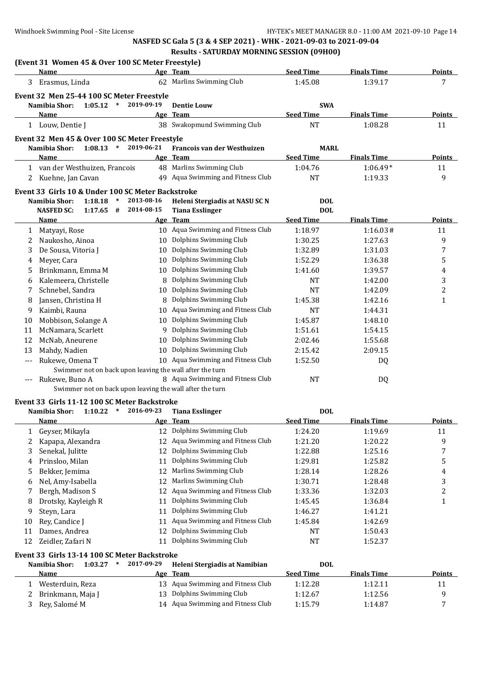|                   | (Event 31 Women 45 & Over 100 SC Meter Freestyle)<br>Name                  |                      | Age Team                                   | <b>Seed Time</b>               | <b>Finals Time</b>            | <b>Points</b>                |
|-------------------|----------------------------------------------------------------------------|----------------------|--------------------------------------------|--------------------------------|-------------------------------|------------------------------|
| 3                 | Erasmus, Linda                                                             |                      | 62 Marlins Swimming Club                   | 1:45.08                        | 1:39.17                       | 7                            |
|                   |                                                                            |                      |                                            |                                |                               |                              |
|                   | Event 32 Men 25-44 100 SC Meter Freestyle<br>Namibia Shor:<br>1:05.12      | $\ast$<br>2019-09-19 | <b>Dentie Louw</b>                         |                                |                               |                              |
|                   | Name                                                                       |                      | Age Team                                   | <b>SWA</b><br><b>Seed Time</b> | <b>Finals Time</b>            | <b>Points</b>                |
|                   |                                                                            |                      | 38 Swakopmund Swimming Club                | <b>NT</b>                      | 1:08.28                       | 11                           |
|                   | 1 Louw, Dentie J                                                           |                      |                                            |                                |                               |                              |
|                   | Event 32 Men 45 & Over 100 SC Meter Freestyle                              |                      |                                            |                                |                               |                              |
|                   | Namibia Shor:<br>1:08.13                                                   | $\ast$<br>2019-06-21 | Francois van der Westhuizen                | <b>MARL</b>                    |                               |                              |
|                   | Name                                                                       |                      | Age Team                                   | <b>Seed Time</b>               | <b>Finals Time</b>            | <b>Points</b>                |
|                   | 1 van der Westhuizen, Francois                                             |                      | 48 Marlins Swimming Club                   | 1:04.76                        | $1:06.49*$                    | 11                           |
| 2                 | Kuehne, Jan Cavan                                                          |                      | 49 Aqua Swimming and Fitness Club          | <b>NT</b>                      | 1:19.33                       | 9                            |
|                   | Event 33 Girls 10 & Under 100 SC Meter Backstroke                          |                      |                                            |                                |                               |                              |
|                   | Namibia Shor:<br>1:18.18                                                   | $\ast$<br>2013-08-16 | Heleni Stergiadis at NASU SC N             | <b>DOL</b>                     |                               |                              |
|                   | <b>NASFED SC:</b><br>$1:17.65$ #                                           | 2014-08-15           | <b>Tiana Esslinger</b>                     | <b>DOL</b>                     |                               |                              |
|                   | <u>Name</u>                                                                |                      | Age Team                                   | <b>Seed Time</b>               | <b>Finals Time</b>            | <u>Points</u>                |
| $\mathbf{1}$      | Matyayi, Rose                                                              |                      | 10 Aqua Swimming and Fitness Club          | 1:18.97                        | 1:16.03#                      | 11                           |
| 2                 | Naukosho, Ainoa                                                            | 10                   | Dolphins Swimming Club                     | 1:30.25                        | 1:27.63                       | 9                            |
| 3                 | De Sousa, Vitoria J                                                        | 10                   | Dolphins Swimming Club                     | 1:32.89                        | 1:31.03                       | 7                            |
| 4                 | Meyer, Cara                                                                | 10                   | Dolphins Swimming Club                     | 1:52.29                        | 1:36.38                       | 5                            |
| 5                 | Brinkmann, Emma M                                                          |                      | 10 Dolphins Swimming Club                  | 1:41.60                        | 1:39.57                       | 4                            |
| 6                 | Kalemeera, Christelle                                                      |                      | 8 Dolphins Swimming Club                   | NT                             | 1:42.00                       | 3                            |
| 7                 | Schnebel, Sandra                                                           | 10                   | Dolphins Swimming Club                     | NT                             | 1:42.09                       | $\overline{\mathbf{c}}$      |
| 8                 | Jansen, Christina H                                                        |                      | 8 Dolphins Swimming Club                   | 1:45.38                        | 1:42.16                       | 1                            |
| 9                 | Kaimbi, Rauna                                                              | 10                   | Aqua Swimming and Fitness Club             | <b>NT</b>                      | 1:44.31                       |                              |
| 10                | Mobbison, Solange A                                                        | 10                   | Dolphins Swimming Club                     | 1:45.87                        | 1:48.10                       |                              |
| 11                | McNamara, Scarlett                                                         | 9.                   | Dolphins Swimming Club                     | 1:51.61                        | 1:54.15                       |                              |
| 12                | McNab, Aneurene                                                            | 10                   | Dolphins Swimming Club                     | 2:02.46                        | 1:55.68                       |                              |
| 13                | Mahdy, Nadien                                                              |                      | 10 Dolphins Swimming Club                  | 2:15.42                        | 2:09.15                       |                              |
| $---$             | Rukewe, Omena T                                                            |                      | 10 Aqua Swimming and Fitness Club          | 1:52.50                        | DQ                            |                              |
|                   | Swimmer not on back upon leaving the wall after the turn                   |                      | 8 Aqua Swimming and Fitness Club           | <b>NT</b>                      |                               |                              |
|                   | Rukewe, Buno A<br>Swimmer not on back upon leaving the wall after the turn |                      |                                            |                                | DQ                            |                              |
|                   |                                                                            |                      |                                            |                                |                               |                              |
|                   | Event 33 Girls 11-12 100 SC Meter Backstroke                               |                      |                                            |                                |                               |                              |
|                   | Namibia Shor:<br>1:10.22                                                   | $\ast$<br>2016-09-23 | <b>Tiana Esslinger</b>                     | <b>DOL</b>                     |                               |                              |
|                   | Name                                                                       |                      | Age Team<br>12 Dolphins Swimming Club      | <b>Seed Time</b><br>1:24.20    | <b>Finals Time</b><br>1:19.69 | <b>Points</b>                |
| 1                 | Geyser, Mikayla                                                            | 12                   | Aqua Swimming and Fitness Club             | 1:21.20                        | 1:20.22                       | 11                           |
| 2                 | Kapapa, Alexandra                                                          | 12                   | Dolphins Swimming Club                     |                                |                               | 9                            |
| 3                 | Senekal, Julitte<br>Prinsloo, Milan                                        | 11                   | Dolphins Swimming Club                     | 1:22.88                        | 1:25.16<br>1:25.82            | 7                            |
| 4                 | Bekker, Jemima                                                             | 12                   | Marlins Swimming Club                      | 1:29.81<br>1:28.14             | 1:28.26                       | 5<br>$\overline{\mathbf{4}}$ |
| 5                 | Nel, Amy-Isabella                                                          | 12                   | Marlins Swimming Club                      | 1:30.71                        | 1:28.48                       | 3                            |
| 6<br>7            | Bergh, Madison S                                                           | 12                   | Aqua Swimming and Fitness Club             | 1:33.36                        | 1:32.03                       | $\overline{\mathbf{c}}$      |
| 8                 | Drotsky, Kayleigh R                                                        | 11                   | Dolphins Swimming Club                     | 1:45.45                        | 1:36.84                       | 1                            |
| 9                 | Steyn, Lara                                                                | 11                   | Dolphins Swimming Club                     | 1:46.27                        | 1:41.21                       |                              |
| 10                | Rey, Candice J                                                             | 11                   | Aqua Swimming and Fitness Club             | 1:45.84                        | 1:42.69                       |                              |
| 11                | Dames, Andrea                                                              | 12                   | Dolphins Swimming Club                     | NT                             | 1:50.43                       |                              |
| 12                | Zeidler, Zafari N                                                          | 11                   | Dolphins Swimming Club                     | NT                             | 1:52.37                       |                              |
|                   |                                                                            |                      |                                            |                                |                               |                              |
|                   | Event 33 Girls 13-14 100 SC Meter Backstroke                               | $\ast$               |                                            |                                |                               |                              |
|                   | Namibia Shor:<br>1:03.27                                                   | 2017-09-29           | Heleni Stergiadis at Namibian              | <b>DOL</b><br><b>Seed Time</b> | <b>Finals Time</b>            | <b>Points</b>                |
|                   | <u>Name</u><br>Westerduin, Reza                                            | 13                   | Age Team<br>Aqua Swimming and Fitness Club | 1:12.28                        | 1:12.11                       | 11                           |
| $\mathbf{1}$<br>2 | Brinkmann, Maja J                                                          | 13                   | Dolphins Swimming Club                     | 1:12.67                        | 1:12.56                       | 9                            |
| 3                 | Rey, Salomé M                                                              |                      | 14 Aqua Swimming and Fitness Club          | 1:15.79                        | 1:14.87                       | 7                            |
|                   |                                                                            |                      |                                            |                                |                               |                              |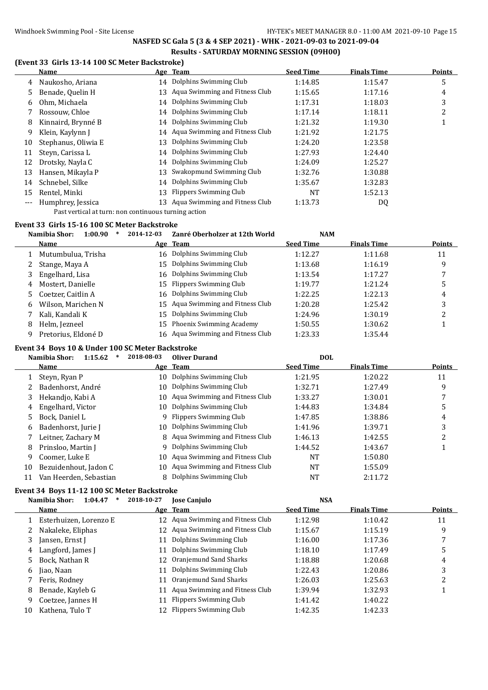# Windhoek Swimming Pool - Site License Machinese HY-TEK's MEET MANAGER 8.0 - 11:00 AM 2021-09-10 Page 15

# **NASFED SC Gala 5 (3 & 4 SEP 2021) - WHK - 2021-09-03 to 2021-09-04 Results - SATURDAY MORNING SESSION (09H00)**

### **(Event 33 Girls 13-14 100 SC Meter Backstroke)**

|       | Name                |    | Age Team                          | <b>Seed Time</b> | <b>Finals Time</b> | <b>Points</b> |
|-------|---------------------|----|-----------------------------------|------------------|--------------------|---------------|
| 4     | Naukosho, Ariana    |    | 14 Dolphins Swimming Club         | 1:14.85          | 1:15.47            | 5             |
| 5     | Benade, Quelin H    | 13 | Aqua Swimming and Fitness Club    | 1:15.65          | 1:17.16            | 4             |
| 6     | Ohm, Michaela       | 14 | Dolphins Swimming Club            | 1:17.31          | 1:18.03            | 3             |
|       | Rossouw. Chloe      |    | 14 Dolphins Swimming Club         | 1:17.14          | 1:18.11            | 2             |
| 8     | Kinnaird, Brynné B  |    | 14 Dolphins Swimming Club         | 1:21.32          | 1:19.30            |               |
| 9     | Klein, Kaylynn J    |    | 14 Aqua Swimming and Fitness Club | 1:21.92          | 1:21.75            |               |
| 10    | Stephanus, Oliwia E | 13 | Dolphins Swimming Club            | 1:24.20          | 1:23.58            |               |
| 11    | Steyn, Carissa L    | 14 | Dolphins Swimming Club            | 1:27.93          | 1:24.40            |               |
| 12    | Drotsky, Nayla C    | 14 | Dolphins Swimming Club            | 1:24.09          | 1:25.27            |               |
| 13    | Hansen, Mikayla P   | 13 | Swakopmund Swimming Club          | 1:32.76          | 1:30.88            |               |
| 14    | Schnebel, Silke     | 14 | Dolphins Swimming Club            | 1:35.67          | 1:32.83            |               |
| 15    | Rentel, Minki       | 13 | <b>Flippers Swimming Club</b>     | NT               | 1:52.13            |               |
| $---$ | Humphrey, Jessica   | 13 | Aqua Swimming and Fitness Club    | 1:13.73          | DQ                 |               |
|       |                     |    |                                   |                  |                    |               |

Past vertical at turn: non continuous turning action

### **Event 33 Girls 15-16 100 SC Meter Backstroke**

|   | Namibia Shor:<br>1:00.90 | 2014-12-03 | Zanré Oberholzer at 12th World    | <b>NAM</b>       |                    |               |
|---|--------------------------|------------|-----------------------------------|------------------|--------------------|---------------|
|   | Name                     |            | Age Team                          | <b>Seed Time</b> | <b>Finals Time</b> | <b>Points</b> |
|   | Mutumbulua, Trisha       |            | 16 Dolphins Swimming Club         | 1:12.27          | 1:11.68            | 11            |
|   | Stange, Maya A           |            | 15 Dolphins Swimming Club         | 1:13.68          | 1:16.19            | 9             |
|   | Engelhard, Lisa          |            | 16 Dolphins Swimming Club         | 1:13.54          | 1:17.27            |               |
| 4 | Mostert, Danielle        |            | 15 Flippers Swimming Club         | 1:19.77          | 1:21.24            | 5             |
|   | 5 Coetzer, Caitlin A     |            | 16 Dolphins Swimming Club         | 1:22.25          | 1:22.13            | 4             |
| 6 | Wilson, Marichen N       |            | 15 Agua Swimming and Fitness Club | 1:20.28          | 1:25.42            | 3             |
|   | Kali, Kandali K          |            | 15 Dolphins Swimming Club         | 1:24.96          | 1:30.19            | 2             |
| 8 | Helm, Jezneel            | 15         | Phoenix Swimming Academy          | 1:50.55          | 1:30.62            |               |
| 9 | Pretorius, Eldoné D      |            | 16 Aqua Swimming and Fitness Club | 1:23.33          | 1:35.44            |               |
|   |                          |            |                                   |                  |                    |               |

### **Event 34 Boys 10 & Under 100 SC Meter Backstroke**

|    | Namibia Shor:<br>1:15.62<br>∗ | 2018-08-03 | <b>Oliver Durand</b>             | <b>DOL</b>       |                    |        |
|----|-------------------------------|------------|----------------------------------|------------------|--------------------|--------|
|    | Name                          |            | Age Team                         | <b>Seed Time</b> | <b>Finals Time</b> | Points |
|    | Steyn, Ryan P                 | 10.        | Dolphins Swimming Club           | 1:21.95          | 1:20.22            | 11     |
|    | Badenhorst, André             | 10         | Dolphins Swimming Club           | 1:32.71          | 1:27.49            | 9      |
| 3  | Hekandjo, Kabi A              | 10         | Aqua Swimming and Fitness Club   | 1:33.27          | 1:30.01            |        |
| 4  | Engelhard, Victor             | 10         | Dolphins Swimming Club           | 1:44.83          | 1:34.84            | 5      |
| 5  | Bock. Daniel L                | 9          | Flippers Swimming Club           | 1:47.85          | 1:38.86            | 4      |
| 6  | Badenhorst, Jurie J           | 10         | Dolphins Swimming Club           | 1:41.96          | 1:39.71            | 3      |
|    | Leitner, Zachary M            |            | 8 Aqua Swimming and Fitness Club | 1:46.13          | 1:42.55            | າ      |
| 8  | Prinsloo, Martin J            | 9          | Dolphins Swimming Club           | 1:44.52          | 1:43.67            |        |
| 9  | Coomer, Luke E                | 10         | Aqua Swimming and Fitness Club   | NT               | 1:50.80            |        |
| 10 | Bezuidenhout, Jadon C         | 10         | Aqua Swimming and Fitness Club   | NT               | 1:55.09            |        |
| 11 | Van Heerden, Sebastian        | 8          | Dolphins Swimming Club           | NT               | 2:11.72            |        |

### **Event 34 Boys 11-12 100 SC Meter Backstroke**

# **Namibia Shor: 1:04.47 \* 2018-10-27 Jose Canjulo NSA**

|    | <b>Name</b>            |    | Age Team                          | <b>Seed Time</b> | <b>Finals Time</b> | <b>Points</b> |
|----|------------------------|----|-----------------------------------|------------------|--------------------|---------------|
|    | Esterhuizen, Lorenzo E |    | 12 Agua Swimming and Fitness Club | 1:12.98          | 1:10.42            | 11            |
|    | Nakaleke, Eliphas      | 12 | Aqua Swimming and Fitness Club    | 1:15.67          | 1:15.19            | 9             |
|    | Jansen, Ernst J        | 11 | Dolphins Swimming Club            | 1:16.00          | 1:17.36            |               |
| 4  | Langford, James J      | 11 | Dolphins Swimming Club            | 1:18.10          | 1:17.49            | 5             |
| 5. | Bock, Nathan R         |    | 12 Oranjemund Sand Sharks         | 1:18.88          | 1:20.68            | 4             |
| 6  | Jiao, Naan             | 11 | Dolphins Swimming Club            | 1:22.43          | 1:20.86            | 3             |
|    | Feris, Rodney          | 11 | Oranjemund Sand Sharks            | 1:26.03          | 1:25.63            | 2             |
| 8  | Benade, Kayleb G       |    | 11 Aqua Swimming and Fitness Club | 1:39.94          | 1:32.93            |               |
| 9  | Coetzee, Jannes H      | 11 | Flippers Swimming Club            | 1:41.42          | 1:40.22            |               |
| 10 | Kathena, Tulo T        |    | 12 Flippers Swimming Club         | 1:42.35          | 1:42.33            |               |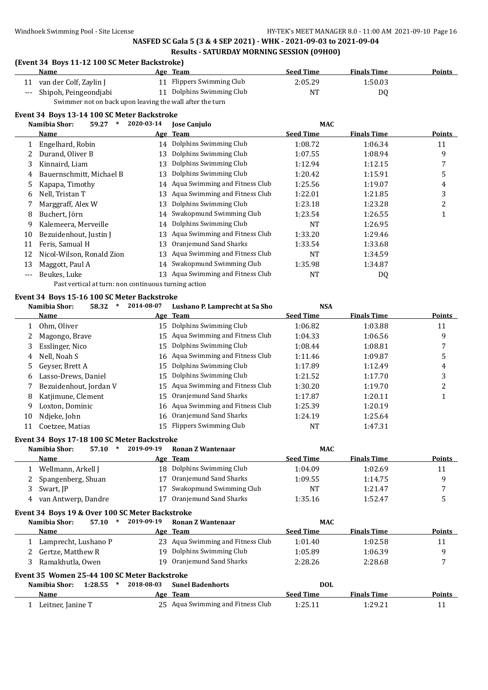### **(Event 34 Boys 11-12 100 SC Meter Backstroke)**

| Name                      | Age Team                  | <b>Seed Time</b> | <b>Finals Time</b> | <b>Points</b> |
|---------------------------|---------------------------|------------------|--------------------|---------------|
| 11 van der Colf, Zaylin J | 11 Flippers Swimming Club | 2:05.29          | 1:50.03            |               |
| --- Shipoh, Peingeondjabi | 11 Dolphins Swimming Club | NT               | D0                 |               |

Swimmer not on back upon leaving the wall after the turn

#### **Event 34 Boys 13-14 100 SC Meter Backstroke**

|       | Namibia Shor:<br>59.27<br>∗ | 2020-03-14 | <b>Jose Canjulo</b>               | <b>MAC</b>       |                    |               |
|-------|-----------------------------|------------|-----------------------------------|------------------|--------------------|---------------|
|       | Name                        |            | Age Team                          | <b>Seed Time</b> | <b>Finals Time</b> | <b>Points</b> |
|       | Engelhard, Robin            |            | 14 Dolphins Swimming Club         | 1:08.72          | 1:06.34            | 11            |
|       | Durand, Oliver B            | 13         | Dolphins Swimming Club            | 1:07.55          | 1:08.94            | 9             |
| 3     | Kinnaird, Liam              | 13         | Dolphins Swimming Club            | 1:12.94          | 1:12.15            |               |
| 4     | Bauernschmitt, Michael B    | 13         | Dolphins Swimming Club            | 1:20.42          | 1:15.91            | כ             |
| 5     | Kapapa, Timothy             |            | 14 Aqua Swimming and Fitness Club | 1:25.56          | 1:19.07            | 4             |
| 6     | Nell, Tristan T             | 13         | Aqua Swimming and Fitness Club    | 1:22.01          | 1:21.85            | 3             |
|       | Marggraff, Alex W           | 13         | Dolphins Swimming Club            | 1:23.18          | 1:23.28            | 2             |
| 8     | Buchert, Jörn               |            | 14 Swakopmund Swimming Club       | 1:23.54          | 1:26.55            | 1             |
| 9     | Kalemeera, Merveille        | 14         | Dolphins Swimming Club            | NT               | 1:26.95            |               |
| 10    | Bezuidenhout, Justin J      | 13         | Aqua Swimming and Fitness Club    | 1:33.20          | 1:29.46            |               |
| 11    | Feris, Samual H             | 13         | Oranjemund Sand Sharks            | 1:33.54          | 1:33.68            |               |
| 12    | Nicol-Wilson, Ronald Zion   | 13         | Aqua Swimming and Fitness Club    | NT               | 1:34.59            |               |
| 13    | Maggott, Paul A             | 14         | Swakopmund Swimming Club          | 1:35.98          | 1:34.87            |               |
| $---$ | Beukes, Luke                | 13         | Aqua Swimming and Fitness Club    | <b>NT</b>        | DQ                 |               |
|       |                             |            |                                   |                  |                    |               |

#### Past vertical at turn: non continuous turning action

### **Event 34 Boys 15-16 100 SC Meter Backstroke**

|    | Namibia Shor:<br>58.32<br>$\ast$            | 2014-08-07 | Lushano P. Lamprecht at Sa Sho    | <b>NSA</b>       |                    |        |
|----|---------------------------------------------|------------|-----------------------------------|------------------|--------------------|--------|
|    | <b>Name</b>                                 |            | Age Team                          | <b>Seed Time</b> | <b>Finals Time</b> | Points |
|    | Ohm, Oliver                                 | 15         | Dolphins Swimming Club            | 1:06.82          | 1:03.88            | 11     |
|    | Magongo, Brave                              | 15         | Aqua Swimming and Fitness Club    | 1:04.33          | 1:06.56            | 9      |
| 3  | Esslinger, Nico                             | 15         | Dolphins Swimming Club            | 1:08.44          | 1:08.81            | 7      |
| 4  | Nell, Noah S                                |            | 16 Aqua Swimming and Fitness Club | 1:11.46          | 1:09.87            | 5      |
| 5  | Geyser, Brett A                             | 15         | Dolphins Swimming Club            | 1:17.89          | 1:12.49            | 4      |
| 6  | Lasso-Drews, Daniel                         | 15         | Dolphins Swimming Club            | 1:21.52          | 1:17.70            | 3      |
|    | Bezuidenhout, Jordan V                      |            | 15 Aqua Swimming and Fitness Club | 1:30.20          | 1:19.70            | 2      |
| 8  | Katjimune, Clement                          | 15         | Oranjemund Sand Sharks            | 1:17.87          | 1:20.11            |        |
| 9  | Loxton, Dominic                             |            | 16 Aqua Swimming and Fitness Club | 1:25.39          | 1:20.19            |        |
| 10 | Ndjeke, John                                | 16         | Oranjemund Sand Sharks            | 1:24.19          | 1:25.64            |        |
| 11 | Coetzee, Matias                             |            | 15 Flippers Swimming Club         | NT               | 1:47.31            |        |
|    | Event 34 Boys 17-18 100 SC Meter Backstroke |            |                                   |                  |                    |        |
|    | Namibia Shor:<br>57.10<br>∗                 | 2019-09-19 | <b>Ronan Z Wantenaar</b>          | MAC              |                    |        |
|    | Name                                        |            | Age Team                          | <b>Seed Time</b> | <b>Finals Time</b> | Points |

|   | Wellmann, Arkell J                              |            | 18 Dolphins Swimming Club         | 1:04.09          | 1:02.69            | 11            |
|---|-------------------------------------------------|------------|-----------------------------------|------------------|--------------------|---------------|
| 2 | Spangenberg, Shuan                              |            | 17 Oranjemund Sand Sharks         | 1:09.55          | 1:14.75            | 9             |
| 3 | Swart, JP                                       |            | Swakopmund Swimming Club          | NT               | 1:21.47            |               |
| 4 | van Antwerp, Dandre                             |            | Oranjemund Sand Sharks            | 1:35.16          | 1:52.47            | 5             |
|   |                                                 |            |                                   |                  |                    |               |
|   | Event 34 Boys 19 & Over 100 SC Meter Backstroke |            |                                   |                  |                    |               |
|   | Namibia Shor:<br>57.10<br>$\ast$                | 2019-09-19 | Ronan Z Wantenaar                 | MAC.             |                    |               |
|   | Name                                            |            | Age Team                          | <b>Seed Time</b> | <b>Finals Time</b> | <b>Points</b> |
|   | Lamprecht, Lushano P                            |            | 23 Agua Swimming and Fitness Club | 1:01.40          | 1:02.58            | 11            |

3 Ramakhutla, Owen 19 Oranjemund Sand Sharks 2:28.26 2:28.68 7

| Event 35 Women 25-44 100 SC Meter Backstroke |  |  |                                           |                  |                    |        |
|----------------------------------------------|--|--|-------------------------------------------|------------------|--------------------|--------|
| Namibia Shor:<br>$1:28.55$ *                 |  |  | 2018-08-03 Sunel Badenhorts<br><b>DOL</b> |                  |                    |        |
| Name                                         |  |  | Age Team                                  | <b>Seed Time</b> | <b>Finals Time</b> | Points |
| Leitner, Janine T                            |  |  | 25 Aqua Swimming and Fitness Club         | 1:25.11          | 1:29.21            |        |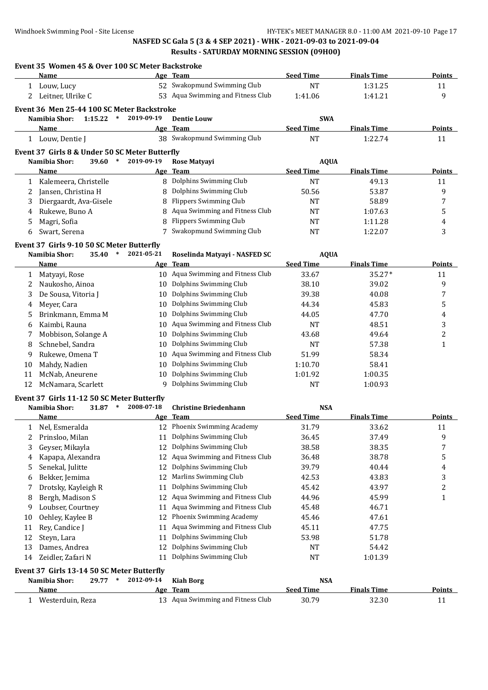|              | Event 35 Women 45 & Over 100 SC Meter Backstroke<br>Name |            | Age Team                          | <b>Seed Time</b>               | <b>Finals Time</b> | <b>Points</b>  |
|--------------|----------------------------------------------------------|------------|-----------------------------------|--------------------------------|--------------------|----------------|
| $\mathbf{1}$ | Louw, Lucy                                               |            | 52 Swakopmund Swimming Club       | <b>NT</b>                      | 1:31.25            | 11             |
| 2            | Leitner, Ulrike C                                        |            | 53 Aqua Swimming and Fitness Club | 1:41.06                        | 1:41.21            | 9              |
|              |                                                          |            |                                   |                                |                    |                |
|              | Event 36 Men 25-44 100 SC Meter Backstroke               | 2019-09-19 |                                   |                                |                    |                |
|              | Namibia Shor:<br>$1:15.22$ *                             |            | <b>Dentie Louw</b><br>Age Team    | <b>SWA</b><br><b>Seed Time</b> | <b>Finals Time</b> | Points         |
|              | Name                                                     |            | 38 Swakopmund Swimming Club       | <b>NT</b>                      | 1:22.74            | 11             |
|              | 1 Louw, Dentie J                                         |            |                                   |                                |                    |                |
|              | Event 37 Girls 8 & Under 50 SC Meter Butterfly           |            |                                   |                                |                    |                |
|              | Namibia Shor:<br>39.60<br>$\ast$                         | 2019-09-19 | Rose Matyayi                      | <b>AQUA</b>                    |                    |                |
|              | Name                                                     | <u>Age</u> | <b>Team</b>                       | <b>Seed Time</b>               | <b>Finals Time</b> | <b>Points</b>  |
| 1            | Kalemeera, Christelle                                    | 8          | Dolphins Swimming Club            | <b>NT</b>                      | 49.13              | 11             |
| 2            | Jansen, Christina H                                      | 8          | Dolphins Swimming Club            | 50.56                          | 53.87              | 9              |
| 3            | Diergaardt, Ava-Gisele                                   | 8          | <b>Flippers Swimming Club</b>     | NT                             | 58.89              | 7              |
| 4            | Rukewe, Buno A                                           | 8          | Aqua Swimming and Fitness Club    | NT                             | 1:07.63            | 5              |
| 5            | Magri, Sofia                                             | 8          | <b>Flippers Swimming Club</b>     | NT                             | 1:11.28            | 4              |
| 6            | Swart, Serena                                            |            | 7 Swakopmund Swimming Club        | <b>NT</b>                      | 1:22.07            | 3              |
|              | Event 37 Girls 9-10 50 SC Meter Butterfly                |            |                                   |                                |                    |                |
|              | Namibia Shor:<br>$\ast$<br>35.40                         | 2021-05-21 | Roselinda Matyayi - NASFED SC     | <b>AQUA</b>                    |                    |                |
|              | Name                                                     | Age        | <b>Team</b>                       | <b>Seed Time</b>               | <b>Finals Time</b> | <b>Points</b>  |
| 1            | Matyayi, Rose                                            |            | 10 Aqua Swimming and Fitness Club | 33.67                          | 35.27*             | 11             |
| 2            | Naukosho, Ainoa                                          | 10         | Dolphins Swimming Club            | 38.10                          | 39.02              | 9              |
| 3            | De Sousa, Vitoria J                                      | 10         | Dolphins Swimming Club            | 39.38                          | 40.08              | 7              |
| 4            | Meyer, Cara                                              | 10         | Dolphins Swimming Club            | 44.34                          | 45.83              | 5              |
| 5            | Brinkmann, Emma M                                        | 10         | Dolphins Swimming Club            | 44.05                          | 47.70              | 4              |
| 6            | Kaimbi, Rauna                                            | 10         | Aqua Swimming and Fitness Club    | NT                             | 48.51              | 3              |
|              |                                                          |            | Dolphins Swimming Club            |                                |                    |                |
| 7            | Mobbison, Solange A                                      | 10         |                                   | 43.68                          | 49.64              | $\overline{c}$ |
| 8            | Schnebel, Sandra                                         | 10         | Dolphins Swimming Club            | <b>NT</b>                      | 57.38              | $\mathbf{1}$   |
| 9            | Rukewe, Omena T                                          | 10         | Aqua Swimming and Fitness Club    | 51.99                          | 58.34              |                |
| 10           | Mahdy, Nadien                                            | 10         | Dolphins Swimming Club            | 1:10.70                        | 58.41              |                |
| 11           | McNab, Aneurene                                          | 10         | Dolphins Swimming Club            | 1:01.92                        | 1:00.35            |                |
| 12           | McNamara, Scarlett                                       | 9          | Dolphins Swimming Club            | <b>NT</b>                      | 1:00.93            |                |
|              | Event 37 Girls 11-12 50 SC Meter Butterfly               |            |                                   |                                |                    |                |
|              | Namibia Shor:<br>31.87<br>$\ast$                         | 2008-07-18 | <b>Christine Briedenhann</b>      | <b>NSA</b>                     |                    |                |
|              | Name                                                     | Age        | <b>Team</b>                       | <b>Seed Time</b>               | <b>Finals Time</b> | <b>Points</b>  |
|              | 1 Nel, Esmeralda                                         |            | 12 Phoenix Swimming Academy       | 31.79                          | 33.62              | 11             |
|              | Prinsloo, Milan                                          |            | 11 Dolphins Swimming Club         | 36.45                          | 37.49              | 9              |
| 3            | Geyser, Mikayla                                          | 12         | Dolphins Swimming Club            | 38.58                          | 38.35              | 7              |
| 4            | Kapapa, Alexandra                                        | 12         | Aqua Swimming and Fitness Club    | 36.48                          | 38.78              | 5              |
| 5            | Senekal, Julitte                                         | 12         | Dolphins Swimming Club            | 39.79                          | 40.44              | 4              |
| 6            | Bekker, Jemima                                           | 12         | Marlins Swimming Club             | 42.53                          | 43.83              | 3              |
| 7            | Drotsky, Kayleigh R                                      | 11         | Dolphins Swimming Club            | 45.42                          | 43.97              | 2              |
| 8            | Bergh, Madison S                                         | 12         | Aqua Swimming and Fitness Club    | 44.96                          | 45.99              | $\mathbf{1}$   |
| 9            | Loubser, Courtney                                        | 11         | Aqua Swimming and Fitness Club    | 45.48                          | 46.71              |                |
| 10           | Oehley, Kaylee B                                         | 12         | Phoenix Swimming Academy          | 45.46                          | 47.61              |                |
| 11           | Rey, Candice J                                           | 11         | Aqua Swimming and Fitness Club    | 45.11                          | 47.75              |                |
| 12           | Steyn, Lara                                              | 11         | Dolphins Swimming Club            | 53.98                          | 51.78              |                |
| 13           | Dames, Andrea                                            | 12         | Dolphins Swimming Club            | NT                             | 54.42              |                |
| 14           | Zeidler, Zafari N                                        | 11         | Dolphins Swimming Club            | NT                             | 1:01.39            |                |
|              |                                                          |            |                                   |                                |                    |                |
|              | Event 37 Girls 13-14 50 SC Meter Butterfly               |            |                                   |                                |                    |                |
|              | Namibia Shor:<br>29.77<br>$\ast$                         | 2012-09-14 | <b>Kiah Borg</b>                  | <b>NSA</b>                     |                    |                |
|              | <u>Name</u>                                              | <u>Age</u> | <b>Team</b>                       | <b>Seed Time</b>               | <b>Finals Time</b> | <b>Points</b>  |
| $\mathbf{1}$ | Westerduin, Reza                                         |            | 13 Aqua Swimming and Fitness Club | 30.79                          | 32.30              | 11             |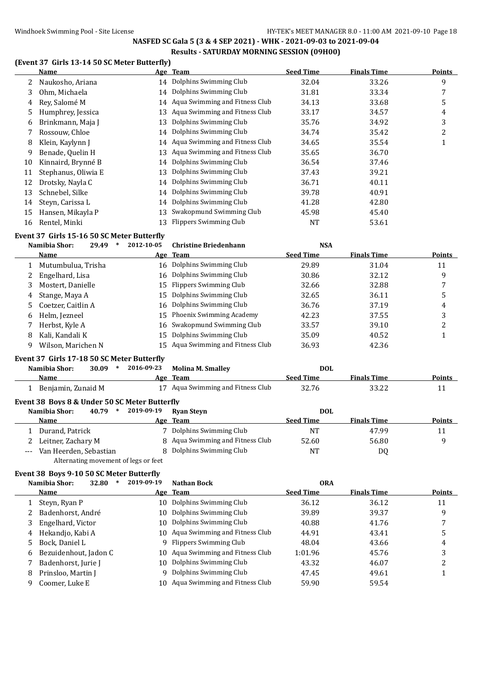### Windhoek Swimming Pool - Site License **HY-TEK's MEET MANAGER 8.0 - 11:00 AM 2021-09-10** Page 18

# **NASFED SC Gala 5 (3 & 4 SEP 2021) - WHK - 2021-09-03 to 2021-09-04 Results - SATURDAY MORNING SESSION (09H00)**

# **(Event 37 Girls 13-14 50 SC Meter Butterfly)**

|              | <b>Name</b>                                   |            | Age Team                          | <b>Seed Time</b> | <b>Finals Time</b> | <b>Points</b>  |
|--------------|-----------------------------------------------|------------|-----------------------------------|------------------|--------------------|----------------|
| 2            | Naukosho, Ariana                              |            | 14 Dolphins Swimming Club         | 32.04            | 33.26              | 9              |
| 3            | Ohm, Michaela                                 | 14         | Dolphins Swimming Club            | 31.81            | 33.34              | 7              |
| 4            | Rey, Salomé M                                 |            | 14 Aqua Swimming and Fitness Club | 34.13            | 33.68              | 5              |
| 5            | Humphrey, Jessica                             | 13         | Aqua Swimming and Fitness Club    | 33.17            | 34.57              | 4              |
| 6            | Brinkmann, Maja J                             | 13         | Dolphins Swimming Club            | 35.76            | 34.92              | 3              |
| 7            | Rossouw, Chloe                                | 14         | Dolphins Swimming Club            | 34.74            | 35.42              | $\overline{c}$ |
| 8            | Klein, Kaylynn J                              | 14         | Aqua Swimming and Fitness Club    | 34.65            | 35.54              | $\mathbf{1}$   |
| 9            | Benade, Quelin H                              | 13         | Aqua Swimming and Fitness Club    | 35.65            | 36.70              |                |
| 10           | Kinnaird, Brynné B                            | 14         | Dolphins Swimming Club            | 36.54            | 37.46              |                |
| 11           | Stephanus, Oliwia E                           | 13         | Dolphins Swimming Club            | 37.43            | 39.21              |                |
| 12           | Drotsky, Nayla C                              | 14         | Dolphins Swimming Club            | 36.71            | 40.11              |                |
| 13           | Schnebel, Silke                               | 14         | Dolphins Swimming Club            | 39.78            | 40.91              |                |
| 14           | Steyn, Carissa L                              | 14         | Dolphins Swimming Club            | 41.28            | 42.80              |                |
| 15           | Hansen, Mikayla P                             | 13         | Swakopmund Swimming Club          | 45.98            | 45.40              |                |
| 16           | Rentel, Minki                                 | 13         | <b>Flippers Swimming Club</b>     | <b>NT</b>        | 53.61              |                |
|              | Event 37 Girls 15-16 50 SC Meter Butterfly    |            |                                   |                  |                    |                |
|              | Namibia Shor:<br>29.49<br>$\ast$              | 2012-10-05 | <b>Christine Briedenhann</b>      | <b>NSA</b>       |                    |                |
|              | Name                                          | Age        | <b>Team</b>                       | <b>Seed Time</b> | <b>Finals Time</b> | <b>Points</b>  |
| 1            | Mutumbulua, Trisha                            | 16         | Dolphins Swimming Club            | 29.89            | 31.04              | 11             |
| 2            | Engelhard, Lisa                               | 16         | Dolphins Swimming Club            | 30.86            | 32.12              | 9              |
| 3            | Mostert, Danielle                             | 15         | <b>Flippers Swimming Club</b>     | 32.66            | 32.88              | 7              |
| 4            | Stange, Maya A                                | 15         | Dolphins Swimming Club            | 32.65            | 36.11              | 5              |
| 5            | Coetzer, Caitlin A                            | 16         | Dolphins Swimming Club            | 36.76            | 37.19              | 4              |
| 6            | Helm, Jezneel                                 | 15         | Phoenix Swimming Academy          | 42.23            | 37.55              | 3              |
| 7            | Herbst, Kyle A                                | 16         | Swakopmund Swimming Club          | 33.57            | 39.10              | 2              |
| 8            | Kali, Kandali K                               | 15         | Dolphins Swimming Club            | 35.09            | 40.52              | $\mathbf{1}$   |
| 9            | Wilson, Marichen N                            | 15         | Aqua Swimming and Fitness Club    | 36.93            | 42.36              |                |
|              | Event 37 Girls 17-18 50 SC Meter Butterfly    |            |                                   |                  |                    |                |
|              | Namibia Shor:<br>$\ast$<br>30.09              | 2016-09-23 | <b>Molina M. Smalley</b>          | <b>DOL</b>       |                    |                |
|              | Name                                          | Age        | <b>Team</b>                       | <b>Seed Time</b> | <b>Finals Time</b> | <b>Points</b>  |
|              | 1 Benjamin, Zunaid M                          |            | 17 Aqua Swimming and Fitness Club | 32.76            | 33.22              | 11             |
|              | Event 38 Boys 8 & Under 50 SC Meter Butterfly |            |                                   |                  |                    |                |
|              | Namibia Shor:<br>40.79<br>$\ast$              | 2019-09-19 | <b>Ryan Steyn</b>                 | <b>DOL</b>       |                    |                |
|              | Name                                          |            | Age Team                          | <b>Seed Time</b> | <b>Finals Time</b> | <b>Points</b>  |
| $\mathbf{1}$ | Durand, Patrick                               |            | 7 Dolphins Swimming Club          | <b>NT</b>        | 47.99              | 11             |
| 2            | Leitner, Zachary M                            | 8          | Aqua Swimming and Fitness Club    | 52.60            | 56.80              | 9              |
| ---          | Van Heerden, Sebastian                        | 8          | Dolphins Swimming Club            | NT               | DQ                 |                |
|              | Alternating movement of legs or feet          |            |                                   |                  |                    |                |

# **Event 38 Boys 9-10 50 SC Meter Butterfly**

|   | Namibia Shor:<br>32.80<br>∗ | 2019-09-19 | <b>Nathan Bock</b>                | <b>ORA</b>       |                    |        |
|---|-----------------------------|------------|-----------------------------------|------------------|--------------------|--------|
|   | Name                        |            | Age Team                          | <b>Seed Time</b> | <b>Finals Time</b> | Points |
|   | Steyn, Ryan P               | 10-        | Dolphins Swimming Club            | 36.12            | 36.12              | 11     |
|   | 2 Badenhorst, André         |            | 10 Dolphins Swimming Club         | 39.89            | 39.37              | 9      |
|   | 3 Engelhard, Victor         | 10.        | Dolphins Swimming Club            | 40.88            | 41.76              |        |
| 4 | Hekandjo, Kabi A            |            | 10 Agua Swimming and Fitness Club | 44.91            | 43.41              | 5      |
|   | 5 Bock, Daniel L            |            | 9 Flippers Swimming Club          | 48.04            | 43.66              | 4      |
|   | 6 Bezuidenhout, Jadon C     |            | 10 Agua Swimming and Fitness Club | 1:01.96          | 45.76              | 3      |
|   | Badenhorst, Jurie J         | 10         | Dolphins Swimming Club            | 43.32            | 46.07              | າ      |
| 8 | Prinsloo, Martin J          | 9          | Dolphins Swimming Club            | 47.45            | 49.61              |        |
| q | Coomer, Luke E              | 10         | Aqua Swimming and Fitness Club    | 59.90            | 59.54              |        |
|   |                             |            |                                   |                  |                    |        |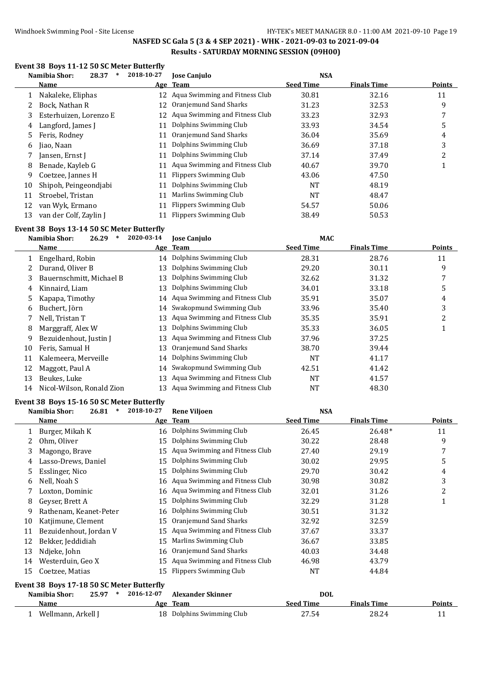# **Event 38 Boys 11-12 50 SC Meter Butterfly**

|    | Namibia Shor:<br>28.37<br>∗ | 2018-10-27 | <b>Jose Canjulo</b>               | <b>NSA</b>       |                    |               |
|----|-----------------------------|------------|-----------------------------------|------------------|--------------------|---------------|
|    | Name                        |            | Age Team                          | <b>Seed Time</b> | <b>Finals Time</b> | <b>Points</b> |
|    | Nakaleke, Eliphas           |            | 12 Aqua Swimming and Fitness Club | 30.81            | 32.16              | 11            |
|    | Bock. Nathan R              | 12         | Oranjemund Sand Sharks            | 31.23            | 32.53              | 9             |
| 3  | Esterhuizen, Lorenzo E      |            | 12 Aqua Swimming and Fitness Club | 33.23            | 32.93              |               |
| 4  | Langford, James J           |            | Dolphins Swimming Club            | 33.93            | 34.54              | 5             |
| 5. | Feris, Rodney               | 11         | Oranjemund Sand Sharks            | 36.04            | 35.69              | 4             |
| 6  | Jiao, Naan                  | 11         | Dolphins Swimming Club            | 36.69            | 37.18              | 3             |
|    | Jansen, Ernst J             | 11         | Dolphins Swimming Club            | 37.14            | 37.49              | 2             |
| 8  | Benade, Kayleb G            | 11         | Aqua Swimming and Fitness Club    | 40.67            | 39.70              |               |
| 9  | Coetzee, Jannes H           | 11         | Flippers Swimming Club            | 43.06            | 47.50              |               |
| 10 | Shipoh, Peingeondjabi       | 11         | Dolphins Swimming Club            | NT               | 48.19              |               |
| 11 | Stroebel, Tristan           | 11         | Marlins Swimming Club             | NT               | 48.47              |               |
| 12 | van Wyk, Ermano             | 11         | Flippers Swimming Club            | 54.57            | 50.06              |               |
| 13 | van der Colf, Zaylin J      |            | Flippers Swimming Club            | 38.49            | 50.53              |               |

#### **Event 38 Boys 13-14 50 SC Meter Butterfly**

|    | Namibia Shor:<br>26.29    | 2020-03-14 | <b>Jose Canjulo</b>               | <b>MAC</b>       |                    |               |
|----|---------------------------|------------|-----------------------------------|------------------|--------------------|---------------|
|    | Name                      |            | Age Team                          | <b>Seed Time</b> | <b>Finals Time</b> | <b>Points</b> |
|    | Engelhard, Robin          | 14         | Dolphins Swimming Club            | 28.31            | 28.76              | 11            |
|    | Durand, Oliver B          | 13         | Dolphins Swimming Club            | 29.20            | 30.11              | 9             |
|    | Bauernschmitt, Michael B  | 13         | Dolphins Swimming Club            | 32.62            | 31.32              | 7             |
| 4  | Kinnaird, Liam            | 13         | Dolphins Swimming Club            | 34.01            | 33.18              | 5             |
|    | Kapapa, Timothy           |            | 14 Aqua Swimming and Fitness Club | 35.91            | 35.07              | 4             |
| 6  | Buchert, Jörn             |            | 14 Swakopmund Swimming Club       | 33.96            | 35.40              | 3             |
|    | Nell, Tristan T           | 13         | Aqua Swimming and Fitness Club    | 35.35            | 35.91              | 2             |
| 8  | Marggraff, Alex W         | 13         | Dolphins Swimming Club            | 35.33            | 36.05              |               |
| 9  | Bezuidenhout, Justin J    | 13         | Aqua Swimming and Fitness Club    | 37.96            | 37.25              |               |
| 10 | Feris, Samual H           | 13         | Oranjemund Sand Sharks            | 38.70            | 39.44              |               |
| 11 | Kalemeera, Merveille      | 14         | Dolphins Swimming Club            | <b>NT</b>        | 41.17              |               |
| 12 | Maggott, Paul A           | 14         | Swakopmund Swimming Club          | 42.51            | 41.42              |               |
| 13 | Beukes, Luke              | 13         | Aqua Swimming and Fitness Club    | NT               | 41.57              |               |
| 14 | Nicol-Wilson, Ronald Zion | 13         | Aqua Swimming and Fitness Club    | NT               | 48.30              |               |

# **Event 38 Boys 15-16 50 SC Meter Butterfly<br>Namibia Shor: 26.81 \* 2018-10-27**

|    | Namibia Shor:<br>26.81<br>$\ast$          | 2018-10-27 | <b>Rene Viljoen</b>               | <b>NSA</b>       |                    |               |
|----|-------------------------------------------|------------|-----------------------------------|------------------|--------------------|---------------|
|    | Name                                      |            | Age Team                          | <b>Seed Time</b> | <b>Finals Time</b> | <b>Points</b> |
|    | Burger, Mikah K                           |            | 16 Dolphins Swimming Club         | 26.45            | $26.48*$           | 11            |
| 2  | Ohm, Oliver                               | 15         | Dolphins Swimming Club            | 30.22            | 28.48              | 9             |
| 3  | Magongo, Brave                            | 15         | Aqua Swimming and Fitness Club    | 27.40            | 29.19              | 7             |
| 4  | Lasso-Drews, Daniel                       | 15         | Dolphins Swimming Club            | 30.02            | 29.95              | 5             |
| 5  | Esslinger, Nico                           | 15         | Dolphins Swimming Club            | 29.70            | 30.42              | 4             |
| 6  | Nell, Noah S                              | 16         | Aqua Swimming and Fitness Club    | 30.98            | 30.82              | 3             |
|    | Loxton, Dominic                           |            | 16 Aqua Swimming and Fitness Club | 32.01            | 31.26              | 2             |
| 8  | Geyser, Brett A                           | 15         | Dolphins Swimming Club            | 32.29            | 31.28              | 1             |
| 9  | Rathenam, Keanet-Peter                    | 16         | Dolphins Swimming Club            | 30.51            | 31.32              |               |
| 10 | Katjimune, Clement                        | 15         | Oranjemund Sand Sharks            | 32.92            | 32.59              |               |
| 11 | Bezuidenhout, Jordan V                    | 15         | Aqua Swimming and Fitness Club    | 37.67            | 33.37              |               |
| 12 | Bekker, Jeddidiah                         | 15         | Marlins Swimming Club             | 36.67            | 33.85              |               |
| 13 | Ndjeke, John                              | 16         | Oranjemund Sand Sharks            | 40.03            | 34.48              |               |
| 14 | Westerduin, Geo X                         | 15         | Aqua Swimming and Fitness Club    | 46.98            | 43.79              |               |
| 15 | Coetzee, Matias                           | 15         | Flippers Swimming Club            | <b>NT</b>        | 44.84              |               |
|    | Event 38 Boys 17-18 50 SC Meter Butterfly |            |                                   |                  |                    |               |
|    | Namibia Shor:<br>25.97                    | 2016-12-07 | <b>Alexander Skinner</b>          | <b>DOL</b>       |                    |               |
|    | <b>Name</b>                               |            | Age Team                          | <b>Seed Time</b> | <b>Finals Time</b> | <b>Points</b> |

1 Wellmann, Arkell J 18 Dolphins Swimming Club 27.54 28.24 28.24 11